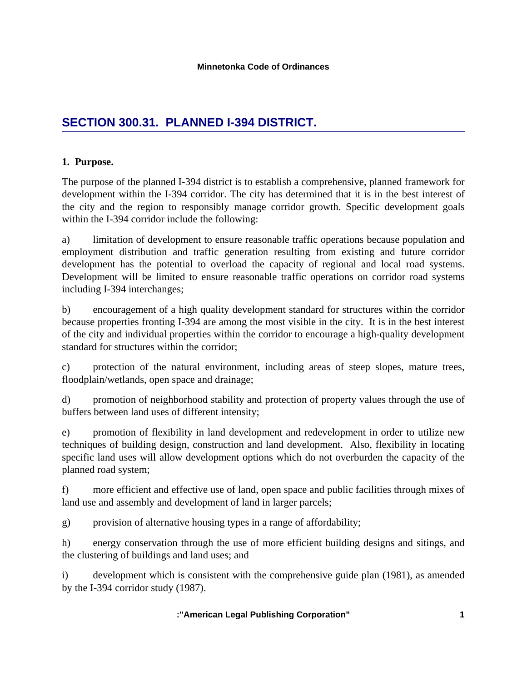# **SECTION 300.31. PLANNED I-394 DISTRICT.**

## **1. Purpose.**

The purpose of the planned I-394 district is to establish a comprehensive, planned framework for development within the I-394 corridor. The city has determined that it is in the best interest of the city and the region to responsibly manage corridor growth. Specific development goals within the I-394 corridor include the following:

a) limitation of development to ensure reasonable traffic operations because population and employment distribution and traffic generation resulting from existing and future corridor development has the potential to overload the capacity of regional and local road systems. Development will be limited to ensure reasonable traffic operations on corridor road systems including I-394 interchanges;

b) encouragement of a high quality development standard for structures within the corridor because properties fronting I-394 are among the most visible in the city. It is in the best interest of the city and individual properties within the corridor to encourage a high-quality development standard for structures within the corridor;

c) protection of the natural environment, including areas of steep slopes, mature trees, floodplain/wetlands, open space and drainage;

d) promotion of neighborhood stability and protection of property values through the use of buffers between land uses of different intensity;

e) promotion of flexibility in land development and redevelopment in order to utilize new techniques of building design, construction and land development. Also, flexibility in locating specific land uses will allow development options which do not overburden the capacity of the planned road system;

f) more efficient and effective use of land, open space and public facilities through mixes of land use and assembly and development of land in larger parcels;

g) provision of alternative housing types in a range of affordability;

h) energy conservation through the use of more efficient building designs and sitings, and the clustering of buildings and land uses; and

i) development which is consistent with the comprehensive guide plan (1981), as amended by the I-394 corridor study (1987).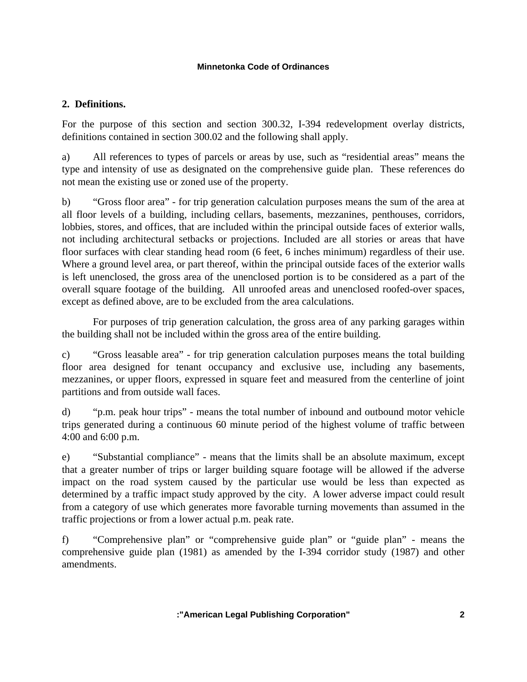## **2. Definitions.**

For the purpose of this section and section 300.32, I-394 redevelopment overlay districts, definitions contained in section 300.02 and the following shall apply.

a) All references to types of parcels or areas by use, such as "residential areas" means the type and intensity of use as designated on the comprehensive guide plan. These references do not mean the existing use or zoned use of the property.

b) "Gross floor area" - for trip generation calculation purposes means the sum of the area at all floor levels of a building, including cellars, basements, mezzanines, penthouses, corridors, lobbies, stores, and offices, that are included within the principal outside faces of exterior walls, not including architectural setbacks or projections. Included are all stories or areas that have floor surfaces with clear standing head room (6 feet, 6 inches minimum) regardless of their use. Where a ground level area, or part thereof, within the principal outside faces of the exterior walls is left unenclosed, the gross area of the unenclosed portion is to be considered as a part of the overall square footage of the building. All unroofed areas and unenclosed roofed-over spaces, except as defined above, are to be excluded from the area calculations.

 For purposes of trip generation calculation, the gross area of any parking garages within the building shall not be included within the gross area of the entire building.

c) "Gross leasable area" - for trip generation calculation purposes means the total building floor area designed for tenant occupancy and exclusive use, including any basements, mezzanines, or upper floors, expressed in square feet and measured from the centerline of joint partitions and from outside wall faces.

d) "p.m. peak hour trips" - means the total number of inbound and outbound motor vehicle trips generated during a continuous 60 minute period of the highest volume of traffic between 4:00 and 6:00 p.m.

e) "Substantial compliance" - means that the limits shall be an absolute maximum, except that a greater number of trips or larger building square footage will be allowed if the adverse impact on the road system caused by the particular use would be less than expected as determined by a traffic impact study approved by the city. A lower adverse impact could result from a category of use which generates more favorable turning movements than assumed in the traffic projections or from a lower actual p.m. peak rate.

f) "Comprehensive plan" or "comprehensive guide plan" or "guide plan" - means the comprehensive guide plan (1981) as amended by the I-394 corridor study (1987) and other amendments.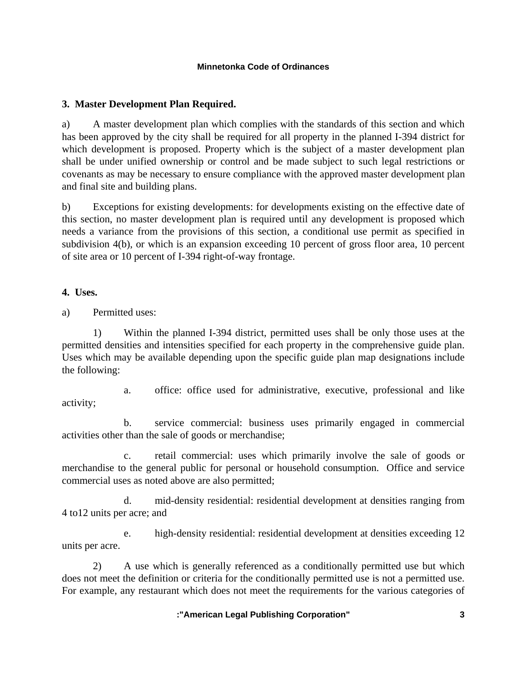## **3. Master Development Plan Required.**

a) A master development plan which complies with the standards of this section and which has been approved by the city shall be required for all property in the planned I-394 district for which development is proposed. Property which is the subject of a master development plan shall be under unified ownership or control and be made subject to such legal restrictions or covenants as may be necessary to ensure compliance with the approved master development plan and final site and building plans.

b) Exceptions for existing developments: for developments existing on the effective date of this section, no master development plan is required until any development is proposed which needs a variance from the provisions of this section, a conditional use permit as specified in subdivision 4(b), or which is an expansion exceeding 10 percent of gross floor area, 10 percent of site area or 10 percent of I-394 right-of-way frontage.

**4. Uses.**

a) Permitted uses:

 1) Within the planned I-394 district, permitted uses shall be only those uses at the permitted densities and intensities specified for each property in the comprehensive guide plan. Uses which may be available depending upon the specific guide plan map designations include the following:

activity;

a. office: office used for administrative, executive, professional and like

 b. service commercial: business uses primarily engaged in commercial activities other than the sale of goods or merchandise;

 c. retail commercial: uses which primarily involve the sale of goods or merchandise to the general public for personal or household consumption. Office and service commercial uses as noted above are also permitted;

 d. mid-density residential: residential development at densities ranging from 4 to12 units per acre; and

 e. high-density residential: residential development at densities exceeding 12 units per acre.

 2) A use which is generally referenced as a conditionally permitted use but which does not meet the definition or criteria for the conditionally permitted use is not a permitted use. For example, any restaurant which does not meet the requirements for the various categories of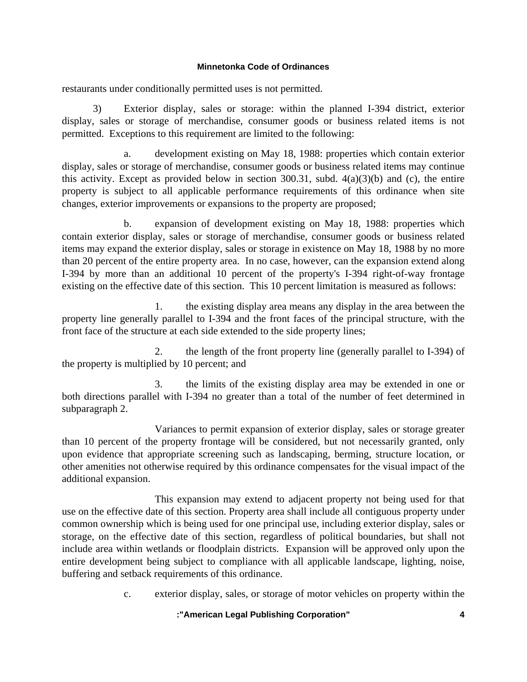restaurants under conditionally permitted uses is not permitted.

 3) Exterior display, sales or storage: within the planned I-394 district, exterior display, sales or storage of merchandise, consumer goods or business related items is not permitted. Exceptions to this requirement are limited to the following:

 a. development existing on May 18, 1988: properties which contain exterior display, sales or storage of merchandise, consumer goods or business related items may continue this activity. Except as provided below in section 300.31, subd.  $4(a)(3)(b)$  and (c), the entire property is subject to all applicable performance requirements of this ordinance when site changes, exterior improvements or expansions to the property are proposed;

 b. expansion of development existing on May 18, 1988: properties which contain exterior display, sales or storage of merchandise, consumer goods or business related items may expand the exterior display, sales or storage in existence on May 18, 1988 by no more than 20 percent of the entire property area. In no case, however, can the expansion extend along I-394 by more than an additional 10 percent of the property's I-394 right-of-way frontage existing on the effective date of this section. This 10 percent limitation is measured as follows:

 1. the existing display area means any display in the area between the property line generally parallel to I-394 and the front faces of the principal structure, with the front face of the structure at each side extended to the side property lines;

 2. the length of the front property line (generally parallel to I-394) of the property is multiplied by 10 percent; and

 3. the limits of the existing display area may be extended in one or both directions parallel with I-394 no greater than a total of the number of feet determined in subparagraph 2.

 Variances to permit expansion of exterior display, sales or storage greater than 10 percent of the property frontage will be considered, but not necessarily granted, only upon evidence that appropriate screening such as landscaping, berming, structure location, or other amenities not otherwise required by this ordinance compensates for the visual impact of the additional expansion.

 This expansion may extend to adjacent property not being used for that use on the effective date of this section. Property area shall include all contiguous property under common ownership which is being used for one principal use, including exterior display, sales or storage, on the effective date of this section, regardless of political boundaries, but shall not include area within wetlands or floodplain districts. Expansion will be approved only upon the entire development being subject to compliance with all applicable landscape, lighting, noise, buffering and setback requirements of this ordinance.

c. exterior display, sales, or storage of motor vehicles on property within the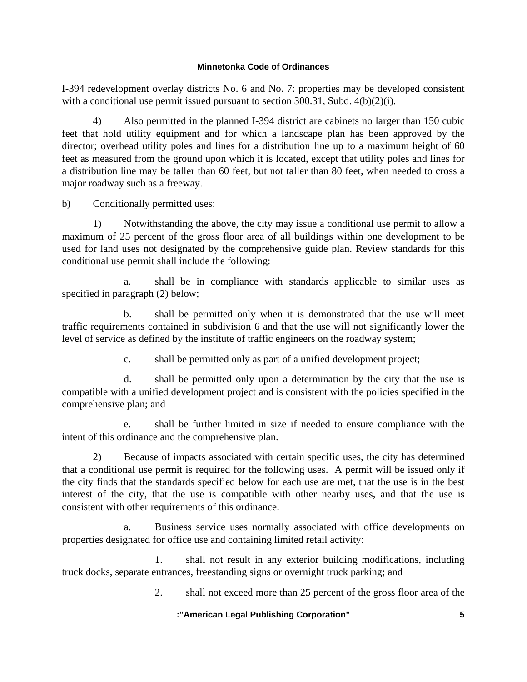I-394 redevelopment overlay districts No. 6 and No. 7: properties may be developed consistent with a conditional use permit issued pursuant to section 300.31, Subd. 4(b)(2)(i).

 4) Also permitted in the planned I-394 district are cabinets no larger than 150 cubic feet that hold utility equipment and for which a landscape plan has been approved by the director; overhead utility poles and lines for a distribution line up to a maximum height of 60 feet as measured from the ground upon which it is located, except that utility poles and lines for a distribution line may be taller than 60 feet, but not taller than 80 feet, when needed to cross a major roadway such as a freeway.

b) Conditionally permitted uses:

 1) Notwithstanding the above, the city may issue a conditional use permit to allow a maximum of 25 percent of the gross floor area of all buildings within one development to be used for land uses not designated by the comprehensive guide plan. Review standards for this conditional use permit shall include the following:

 a. shall be in compliance with standards applicable to similar uses as specified in paragraph (2) below;

 b. shall be permitted only when it is demonstrated that the use will meet traffic requirements contained in subdivision 6 and that the use will not significantly lower the level of service as defined by the institute of traffic engineers on the roadway system;

c. shall be permitted only as part of a unified development project;

 d. shall be permitted only upon a determination by the city that the use is compatible with a unified development project and is consistent with the policies specified in the comprehensive plan; and

 e. shall be further limited in size if needed to ensure compliance with the intent of this ordinance and the comprehensive plan.

 2) Because of impacts associated with certain specific uses, the city has determined that a conditional use permit is required for the following uses. A permit will be issued only if the city finds that the standards specified below for each use are met, that the use is in the best interest of the city, that the use is compatible with other nearby uses, and that the use is consistent with other requirements of this ordinance.

 a. Business service uses normally associated with office developments on properties designated for office use and containing limited retail activity:

 1. shall not result in any exterior building modifications, including truck docks, separate entrances, freestanding signs or overnight truck parking; and

2. shall not exceed more than 25 percent of the gross floor area of the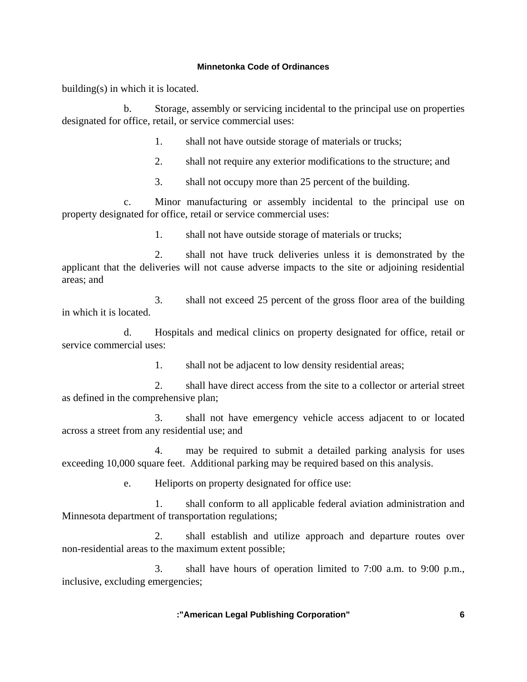building(s) in which it is located.

 b. Storage, assembly or servicing incidental to the principal use on properties designated for office, retail, or service commercial uses:

1. shall not have outside storage of materials or trucks;

2. shall not require any exterior modifications to the structure; and

3. shall not occupy more than 25 percent of the building.

 c. Minor manufacturing or assembly incidental to the principal use on property designated for office, retail or service commercial uses:

1. shall not have outside storage of materials or trucks;

 2. shall not have truck deliveries unless it is demonstrated by the applicant that the deliveries will not cause adverse impacts to the site or adjoining residential areas; and

 3. shall not exceed 25 percent of the gross floor area of the building in which it is located.

 d. Hospitals and medical clinics on property designated for office, retail or service commercial uses:

1. shall not be adjacent to low density residential areas;

 2. shall have direct access from the site to a collector or arterial street as defined in the comprehensive plan;

 3. shall not have emergency vehicle access adjacent to or located across a street from any residential use; and

 4. may be required to submit a detailed parking analysis for uses exceeding 10,000 square feet. Additional parking may be required based on this analysis.

e. Heliports on property designated for office use:

 1. shall conform to all applicable federal aviation administration and Minnesota department of transportation regulations;

 2. shall establish and utilize approach and departure routes over non-residential areas to the maximum extent possible;

 3. shall have hours of operation limited to 7:00 a.m. to 9:00 p.m., inclusive, excluding emergencies;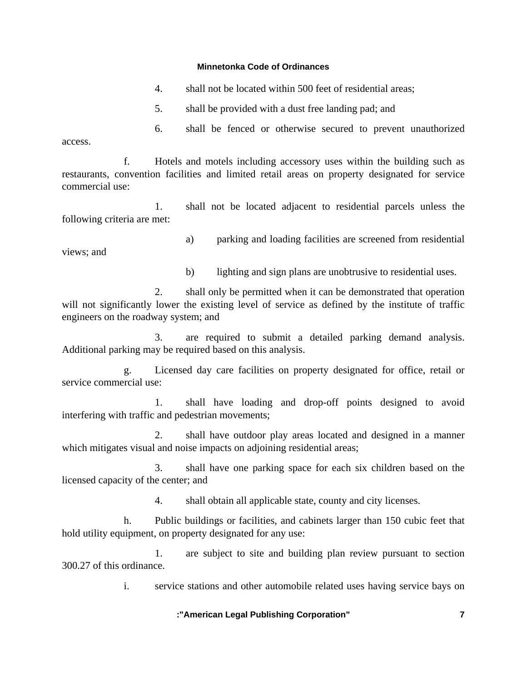- 4. shall not be located within 500 feet of residential areas;
- 5. shall be provided with a dust free landing pad; and

 6. shall be fenced or otherwise secured to prevent unauthorized access.

 f. Hotels and motels including accessory uses within the building such as restaurants, convention facilities and limited retail areas on property designated for service commercial use:

 1. shall not be located adjacent to residential parcels unless the following criteria are met:

views; and

a) parking and loading facilities are screened from residential

b) lighting and sign plans are unobtrusive to residential uses.

 2. shall only be permitted when it can be demonstrated that operation will not significantly lower the existing level of service as defined by the institute of traffic engineers on the roadway system; and

 3. are required to submit a detailed parking demand analysis. Additional parking may be required based on this analysis.

 g. Licensed day care facilities on property designated for office, retail or service commercial use:

 1. shall have loading and drop-off points designed to avoid interfering with traffic and pedestrian movements;

 2. shall have outdoor play areas located and designed in a manner which mitigates visual and noise impacts on adjoining residential areas;

 3. shall have one parking space for each six children based on the licensed capacity of the center; and

4. shall obtain all applicable state, county and city licenses.

 h. Public buildings or facilities, and cabinets larger than 150 cubic feet that hold utility equipment, on property designated for any use:

 1. are subject to site and building plan review pursuant to section 300.27 of this ordinance.

i. service stations and other automobile related uses having service bays on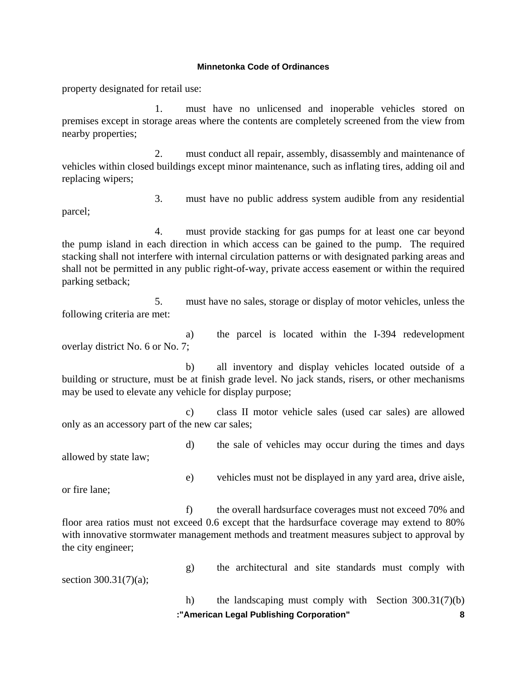property designated for retail use:

 1. must have no unlicensed and inoperable vehicles stored on premises except in storage areas where the contents are completely screened from the view from nearby properties;

 2. must conduct all repair, assembly, disassembly and maintenance of vehicles within closed buildings except minor maintenance, such as inflating tires, adding oil and replacing wipers;

parcel;

3. must have no public address system audible from any residential

 4. must provide stacking for gas pumps for at least one car beyond the pump island in each direction in which access can be gained to the pump. The required stacking shall not interfere with internal circulation patterns or with designated parking areas and shall not be permitted in any public right-of-way, private access easement or within the required parking setback;

 5. must have no sales, storage or display of motor vehicles, unless the following criteria are met:

 a) the parcel is located within the I-394 redevelopment overlay district No. 6 or No. 7;

 b) all inventory and display vehicles located outside of a building or structure, must be at finish grade level. No jack stands, risers, or other mechanisms may be used to elevate any vehicle for display purpose;

 c) class II motor vehicle sales (used car sales) are allowed only as an accessory part of the new car sales;

 d) the sale of vehicles may occur during the times and days allowed by state law;

or fire lane;

 f) the overall hardsurface coverages must not exceed 70% and floor area ratios must not exceed 0.6 except that the hardsurface coverage may extend to 80% with innovative stormwater management methods and treatment measures subject to approval by the city engineer;

section 300.31(7)(a);

g) the architectural and site standards must comply with

e) vehicles must not be displayed in any yard area, drive aisle,

 **:"American Legal Publishing Corporation" 8** h) the landscaping must comply with Section 300.31(7)(b)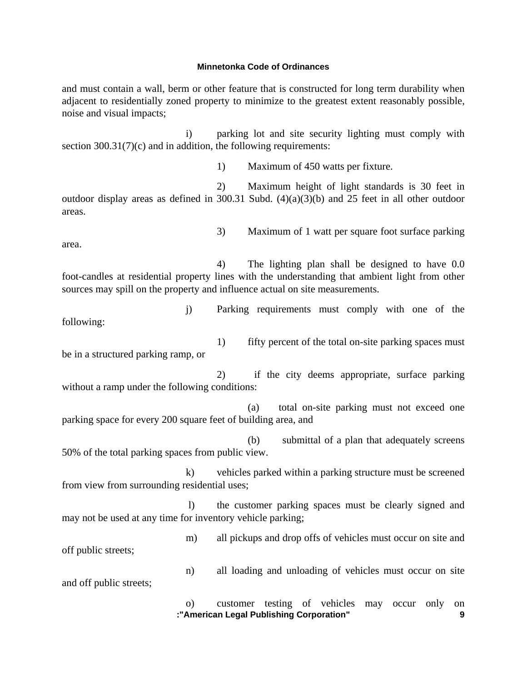and must contain a wall, berm or other feature that is constructed for long term durability when adjacent to residentially zoned property to minimize to the greatest extent reasonably possible, noise and visual impacts;

 i) parking lot and site security lighting must comply with section  $300.31(7)(c)$  and in addition, the following requirements:

1) Maximum of 450 watts per fixture.

3) Maximum of 1 watt per square foot surface parking

 2) Maximum height of light standards is 30 feet in outdoor display areas as defined in 300.31 Subd. (4)(a)(3)(b) and 25 feet in all other outdoor areas.

area.

 4) The lighting plan shall be designed to have 0.0 foot-candles at residential property lines with the understanding that ambient light from other sources may spill on the property and influence actual on site measurements.

 j) Parking requirements must comply with one of the following:

 1) fifty percent of the total on-site parking spaces must be in a structured parking ramp, or

 2) if the city deems appropriate, surface parking without a ramp under the following conditions:

 (a) total on-site parking must not exceed one parking space for every 200 square feet of building area, and

 (b) submittal of a plan that adequately screens 50% of the total parking spaces from public view.

 k) vehicles parked within a parking structure must be screened from view from surrounding residential uses;

 l) the customer parking spaces must be clearly signed and may not be used at any time for inventory vehicle parking;

 m) all pickups and drop offs of vehicles must occur on site and off public streets;

 n) all loading and unloading of vehicles must occur on site and off public streets;

> **:"American Legal Publishing Corporation" 9** o) customer testing of vehicles may occur only on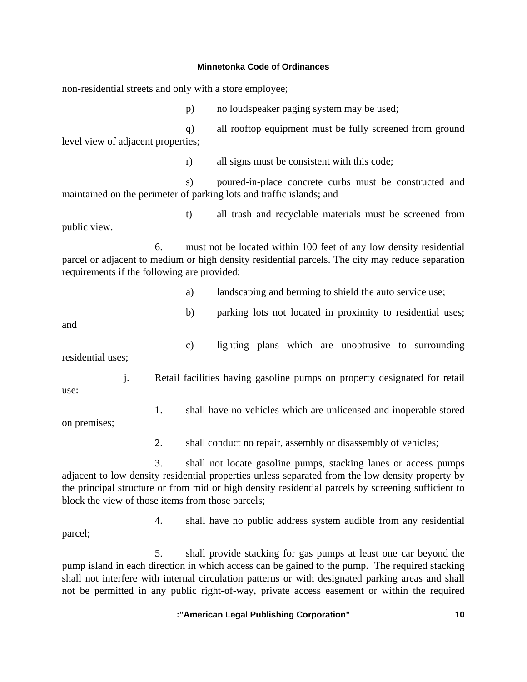non-residential streets and only with a store employee;

p) no loudspeaker paging system may be used;

 q) all rooftop equipment must be fully screened from ground level view of adjacent properties;

r) all signs must be consistent with this code;

 s) poured-in-place concrete curbs must be constructed and maintained on the perimeter of parking lots and traffic islands; and

 t) all trash and recyclable materials must be screened from public view.

 6. must not be located within 100 feet of any low density residential parcel or adjacent to medium or high density residential parcels. The city may reduce separation requirements if the following are provided:

a) landscaping and berming to shield the auto service use;

and

b) parking lots not located in proximity to residential uses;

c) lighting plans which are unobtrusive to surrounding

residential uses;

 j. Retail facilities having gasoline pumps on property designated for retail use:

1. shall have no vehicles which are unlicensed and inoperable stored

on premises;

2. shall conduct no repair, assembly or disassembly of vehicles;

 3. shall not locate gasoline pumps, stacking lanes or access pumps adjacent to low density residential properties unless separated from the low density property by the principal structure or from mid or high density residential parcels by screening sufficient to block the view of those items from those parcels;

 4. shall have no public address system audible from any residential parcel;

 5. shall provide stacking for gas pumps at least one car beyond the pump island in each direction in which access can be gained to the pump. The required stacking shall not interfere with internal circulation patterns or with designated parking areas and shall not be permitted in any public right-of-way, private access easement or within the required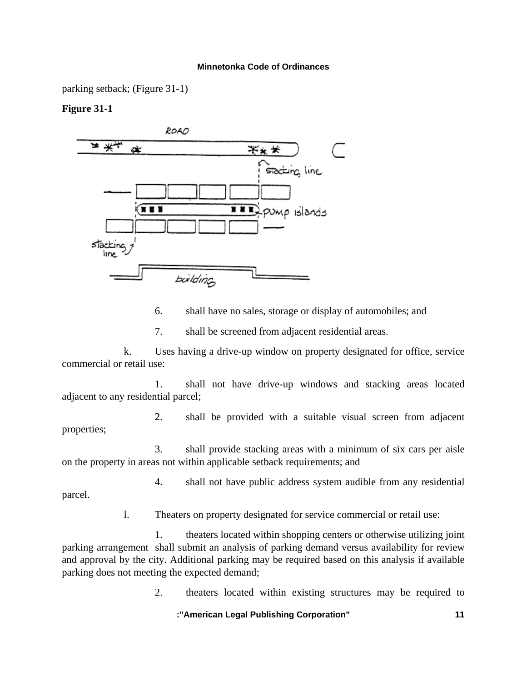parking setback; (Figure 31-1)

## **Figure 31-1**



6. shall have no sales, storage or display of automobiles; and

7. shall be screened from adjacent residential areas.

 k. Uses having a drive-up window on property designated for office, service commercial or retail use:

 1. shall not have drive-up windows and stacking areas located adjacent to any residential parcel;

 2. shall be provided with a suitable visual screen from adjacent properties;

 3. shall provide stacking areas with a minimum of six cars per aisle on the property in areas not within applicable setback requirements; and

 4. shall not have public address system audible from any residential parcel.

l. Theaters on property designated for service commercial or retail use:

 1. theaters located within shopping centers or otherwise utilizing joint parking arrangement shall submit an analysis of parking demand versus availability for review and approval by the city. Additional parking may be required based on this analysis if available parking does not meeting the expected demand;

2. theaters located within existing structures may be required to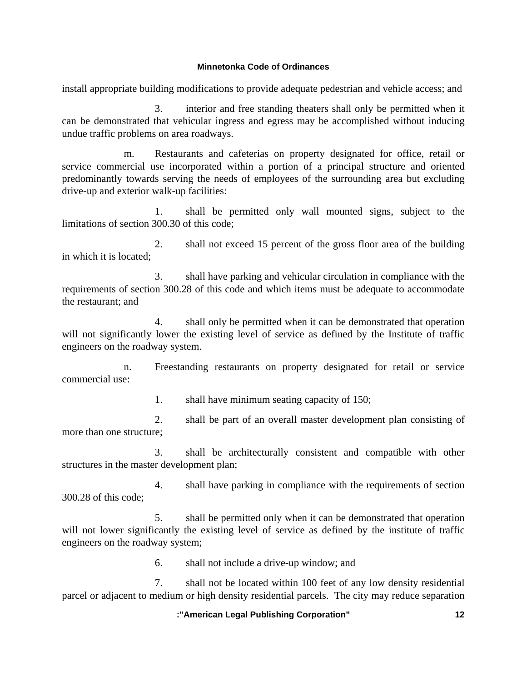install appropriate building modifications to provide adequate pedestrian and vehicle access; and

 3. interior and free standing theaters shall only be permitted when it can be demonstrated that vehicular ingress and egress may be accomplished without inducing undue traffic problems on area roadways.

 m. Restaurants and cafeterias on property designated for office, retail or service commercial use incorporated within a portion of a principal structure and oriented predominantly towards serving the needs of employees of the surrounding area but excluding drive-up and exterior walk-up facilities:

 1. shall be permitted only wall mounted signs, subject to the limitations of section 300.30 of this code;

 2. shall not exceed 15 percent of the gross floor area of the building in which it is located;

 3. shall have parking and vehicular circulation in compliance with the requirements of section 300.28 of this code and which items must be adequate to accommodate the restaurant; and

 4. shall only be permitted when it can be demonstrated that operation will not significantly lower the existing level of service as defined by the Institute of traffic engineers on the roadway system.

 n. Freestanding restaurants on property designated for retail or service commercial use:

1. shall have minimum seating capacity of 150;

 2. shall be part of an overall master development plan consisting of more than one structure;

 3. shall be architecturally consistent and compatible with other structures in the master development plan;

 4. shall have parking in compliance with the requirements of section 300.28 of this code;

 5. shall be permitted only when it can be demonstrated that operation will not lower significantly the existing level of service as defined by the institute of traffic engineers on the roadway system;

6. shall not include a drive-up window; and

 7. shall not be located within 100 feet of any low density residential parcel or adjacent to medium or high density residential parcels. The city may reduce separation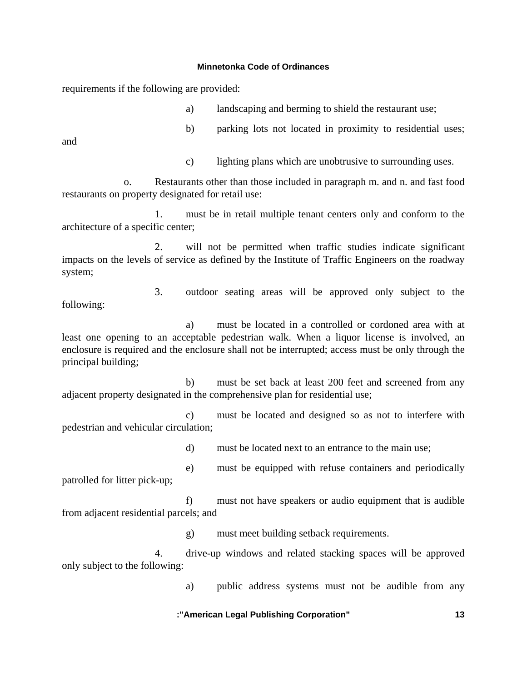requirements if the following are provided:

- a) landscaping and berming to shield the restaurant use;
- b) parking lots not located in proximity to residential uses;

and

c) lighting plans which are unobtrusive to surrounding uses.

 o. Restaurants other than those included in paragraph m. and n. and fast food restaurants on property designated for retail use:

 1. must be in retail multiple tenant centers only and conform to the architecture of a specific center;

 2. will not be permitted when traffic studies indicate significant impacts on the levels of service as defined by the Institute of Traffic Engineers on the roadway system;

 3. outdoor seating areas will be approved only subject to the following:

 a) must be located in a controlled or cordoned area with at least one opening to an acceptable pedestrian walk. When a liquor license is involved, an enclosure is required and the enclosure shall not be interrupted; access must be only through the principal building;

 b) must be set back at least 200 feet and screened from any adjacent property designated in the comprehensive plan for residential use;

 c) must be located and designed so as not to interfere with pedestrian and vehicular circulation;

d) must be located next to an entrance to the main use;

 e) must be equipped with refuse containers and periodically patrolled for litter pick-up;

 f) must not have speakers or audio equipment that is audible from adjacent residential parcels; and

g) must meet building setback requirements.

 4. drive-up windows and related stacking spaces will be approved only subject to the following:

a) public address systems must not be audible from any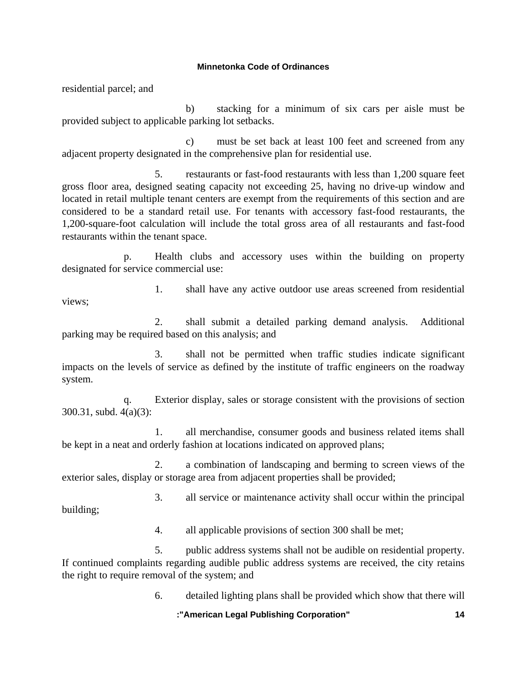residential parcel; and

 b) stacking for a minimum of six cars per aisle must be provided subject to applicable parking lot setbacks.

 c) must be set back at least 100 feet and screened from any adjacent property designated in the comprehensive plan for residential use.

 5. restaurants or fast-food restaurants with less than 1,200 square feet gross floor area, designed seating capacity not exceeding 25, having no drive-up window and located in retail multiple tenant centers are exempt from the requirements of this section and are considered to be a standard retail use. For tenants with accessory fast-food restaurants, the 1,200-square-foot calculation will include the total gross area of all restaurants and fast-food restaurants within the tenant space.

 p. Health clubs and accessory uses within the building on property designated for service commercial use:

 1. shall have any active outdoor use areas screened from residential views;

 2. shall submit a detailed parking demand analysis. Additional parking may be required based on this analysis; and

 3. shall not be permitted when traffic studies indicate significant impacts on the levels of service as defined by the institute of traffic engineers on the roadway system.

 q. Exterior display, sales or storage consistent with the provisions of section 300.31, subd. 4(a)(3):

 1. all merchandise, consumer goods and business related items shall be kept in a neat and orderly fashion at locations indicated on approved plans;

 2. a combination of landscaping and berming to screen views of the exterior sales, display or storage area from adjacent properties shall be provided;

 3. all service or maintenance activity shall occur within the principal building;

4. all applicable provisions of section 300 shall be met;

 5. public address systems shall not be audible on residential property. If continued complaints regarding audible public address systems are received, the city retains the right to require removal of the system; and

6. detailed lighting plans shall be provided which show that there will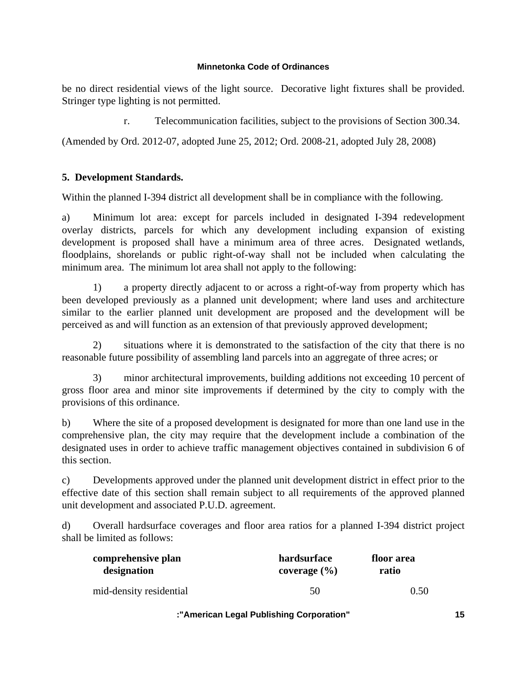be no direct residential views of the light source. Decorative light fixtures shall be provided. Stringer type lighting is not permitted.

r. Telecommunication facilities, subject to the provisions of Section 300.34.

(Amended by Ord. 2012-07, adopted June 25, 2012; Ord. 2008-21, adopted July 28, 2008)

# **5. Development Standards.**

Within the planned I-394 district all development shall be in compliance with the following.

a) Minimum lot area: except for parcels included in designated I-394 redevelopment overlay districts, parcels for which any development including expansion of existing development is proposed shall have a minimum area of three acres. Designated wetlands, floodplains, shorelands or public right-of-way shall not be included when calculating the minimum area. The minimum lot area shall not apply to the following:

 1) a property directly adjacent to or across a right-of-way from property which has been developed previously as a planned unit development; where land uses and architecture similar to the earlier planned unit development are proposed and the development will be perceived as and will function as an extension of that previously approved development;

 2) situations where it is demonstrated to the satisfaction of the city that there is no reasonable future possibility of assembling land parcels into an aggregate of three acres; or

 3) minor architectural improvements, building additions not exceeding 10 percent of gross floor area and minor site improvements if determined by the city to comply with the provisions of this ordinance.

b) Where the site of a proposed development is designated for more than one land use in the comprehensive plan, the city may require that the development include a combination of the designated uses in order to achieve traffic management objectives contained in subdivision 6 of this section.

c) Developments approved under the planned unit development district in effect prior to the effective date of this section shall remain subject to all requirements of the approved planned unit development and associated P.U.D. agreement.

d) Overall hardsurface coverages and floor area ratios for a planned I-394 district project shall be limited as follows:

| comprehensive plan      | hardsurface      | floor area |
|-------------------------|------------------|------------|
| designation             | coverage $(\% )$ | ratio      |
| mid-density residential | 50               | 0.50       |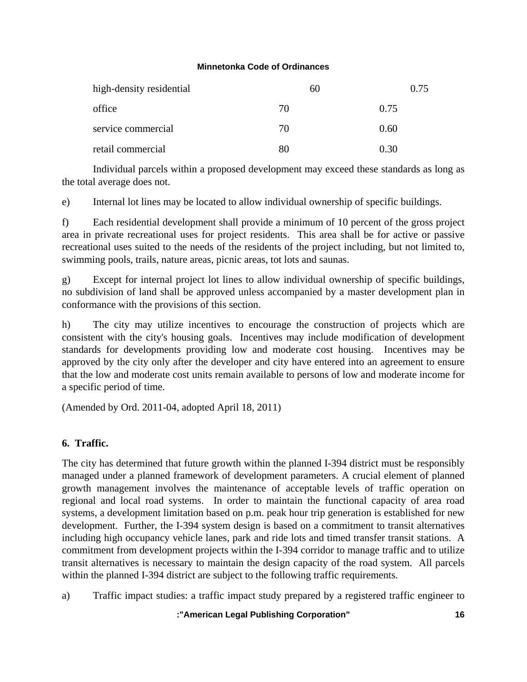| high-density residential | 60 | 0.75 |
|--------------------------|----|------|
| office                   | 70 | 0.75 |
| service commercial       | 70 | 0.60 |
| retail commercial        | 80 | 0.30 |

 Individual parcels within a proposed development may exceed these standards as long as the total average does not.

e) Internal lot lines may be located to allow individual ownership of specific buildings.

f) Each residential development shall provide a minimum of 10 percent of the gross project area in private recreational uses for project residents. This area shall be for active or passive recreational uses suited to the needs of the residents of the project including, but not limited to, swimming pools, trails, nature areas, picnic areas, tot lots and saunas.

g) Except for internal project lot lines to allow individual ownership of specific buildings, no subdivision of land shall be approved unless accompanied by a master development plan in conformance with the provisions of this section.

h) The city may utilize incentives to encourage the construction of projects which are consistent with the city's housing goals. Incentives may include modification of development standards for developments providing low and moderate cost housing. Incentives may be approved by the city only after the developer and city have entered into an agreement to ensure that the low and moderate cost units remain available to persons of low and moderate income for a specific period of time.

(Amended by Ord. 2011-04, adopted April 18, 2011)

# **6. Traffic.**

The city has determined that future growth within the planned I-394 district must be responsibly managed under a planned framework of development parameters. A crucial element of planned growth management involves the maintenance of acceptable levels of traffic operation on regional and local road systems. In order to maintain the functional capacity of area road systems, a development limitation based on p.m. peak hour trip generation is established for new development. Further, the I-394 system design is based on a commitment to transit alternatives including high occupancy vehicle lanes, park and ride lots and timed transfer transit stations. A commitment from development projects within the I-394 corridor to manage traffic and to utilize transit alternatives is necessary to maintain the design capacity of the road system. All parcels within the planned I-394 district are subject to the following traffic requirements.

a) Traffic impact studies: a traffic impact study prepared by a registered traffic engineer to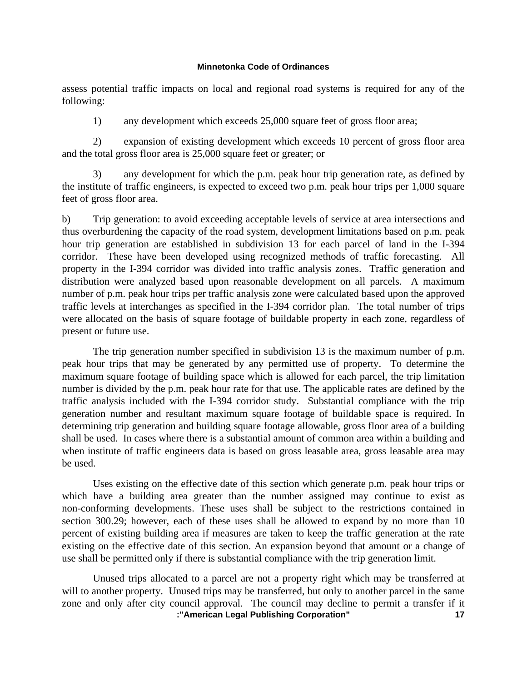assess potential traffic impacts on local and regional road systems is required for any of the following:

1) any development which exceeds 25,000 square feet of gross floor area;

 2) expansion of existing development which exceeds 10 percent of gross floor area and the total gross floor area is 25,000 square feet or greater; or

 3) any development for which the p.m. peak hour trip generation rate, as defined by the institute of traffic engineers, is expected to exceed two p.m. peak hour trips per 1,000 square feet of gross floor area.

b) Trip generation: to avoid exceeding acceptable levels of service at area intersections and thus overburdening the capacity of the road system, development limitations based on p.m. peak hour trip generation are established in subdivision 13 for each parcel of land in the I-394 corridor. These have been developed using recognized methods of traffic forecasting. All property in the I-394 corridor was divided into traffic analysis zones. Traffic generation and distribution were analyzed based upon reasonable development on all parcels. A maximum number of p.m. peak hour trips per traffic analysis zone were calculated based upon the approved traffic levels at interchanges as specified in the I-394 corridor plan. The total number of trips were allocated on the basis of square footage of buildable property in each zone, regardless of present or future use.

 The trip generation number specified in subdivision 13 is the maximum number of p.m. peak hour trips that may be generated by any permitted use of property. To determine the maximum square footage of building space which is allowed for each parcel, the trip limitation number is divided by the p.m. peak hour rate for that use. The applicable rates are defined by the traffic analysis included with the I-394 corridor study. Substantial compliance with the trip generation number and resultant maximum square footage of buildable space is required. In determining trip generation and building square footage allowable, gross floor area of a building shall be used. In cases where there is a substantial amount of common area within a building and when institute of traffic engineers data is based on gross leasable area, gross leasable area may be used.

 Uses existing on the effective date of this section which generate p.m. peak hour trips or which have a building area greater than the number assigned may continue to exist as non-conforming developments. These uses shall be subject to the restrictions contained in section 300.29; however, each of these uses shall be allowed to expand by no more than 10 percent of existing building area if measures are taken to keep the traffic generation at the rate existing on the effective date of this section. An expansion beyond that amount or a change of use shall be permitted only if there is substantial compliance with the trip generation limit.

 **:"American Legal Publishing Corporation" 17** Unused trips allocated to a parcel are not a property right which may be transferred at will to another property. Unused trips may be transferred, but only to another parcel in the same zone and only after city council approval. The council may decline to permit a transfer if it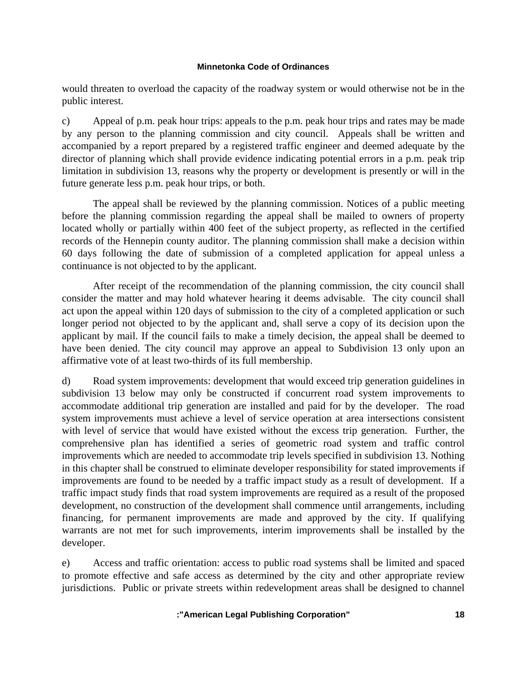would threaten to overload the capacity of the roadway system or would otherwise not be in the public interest.

c) Appeal of p.m. peak hour trips: appeals to the p.m. peak hour trips and rates may be made by any person to the planning commission and city council. Appeals shall be written and accompanied by a report prepared by a registered traffic engineer and deemed adequate by the director of planning which shall provide evidence indicating potential errors in a p.m. peak trip limitation in subdivision 13, reasons why the property or development is presently or will in the future generate less p.m. peak hour trips, or both.

 The appeal shall be reviewed by the planning commission. Notices of a public meeting before the planning commission regarding the appeal shall be mailed to owners of property located wholly or partially within 400 feet of the subject property, as reflected in the certified records of the Hennepin county auditor. The planning commission shall make a decision within 60 days following the date of submission of a completed application for appeal unless a continuance is not objected to by the applicant.

 After receipt of the recommendation of the planning commission, the city council shall consider the matter and may hold whatever hearing it deems advisable. The city council shall act upon the appeal within 120 days of submission to the city of a completed application or such longer period not objected to by the applicant and, shall serve a copy of its decision upon the applicant by mail. If the council fails to make a timely decision, the appeal shall be deemed to have been denied. The city council may approve an appeal to Subdivision 13 only upon an affirmative vote of at least two-thirds of its full membership.

d) Road system improvements: development that would exceed trip generation guidelines in subdivision 13 below may only be constructed if concurrent road system improvements to accommodate additional trip generation are installed and paid for by the developer. The road system improvements must achieve a level of service operation at area intersections consistent with level of service that would have existed without the excess trip generation. Further, the comprehensive plan has identified a series of geometric road system and traffic control improvements which are needed to accommodate trip levels specified in subdivision 13. Nothing in this chapter shall be construed to eliminate developer responsibility for stated improvements if improvements are found to be needed by a traffic impact study as a result of development. If a traffic impact study finds that road system improvements are required as a result of the proposed development, no construction of the development shall commence until arrangements, including financing, for permanent improvements are made and approved by the city. If qualifying warrants are not met for such improvements, interim improvements shall be installed by the developer.

e) Access and traffic orientation: access to public road systems shall be limited and spaced to promote effective and safe access as determined by the city and other appropriate review jurisdictions. Public or private streets within redevelopment areas shall be designed to channel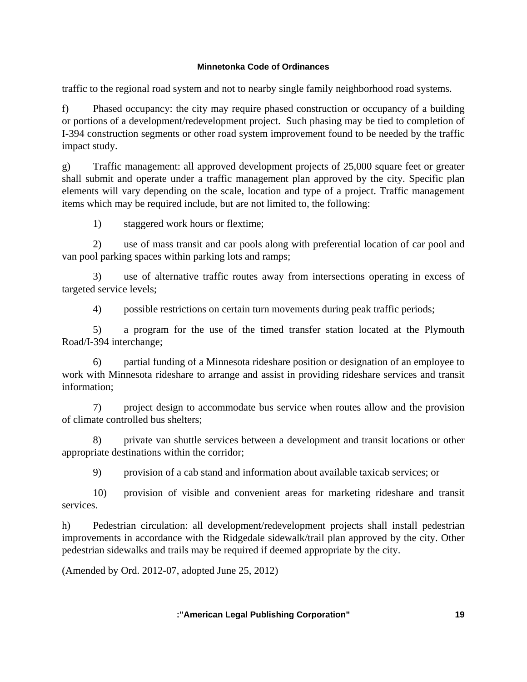traffic to the regional road system and not to nearby single family neighborhood road systems.

f) Phased occupancy: the city may require phased construction or occupancy of a building or portions of a development/redevelopment project. Such phasing may be tied to completion of I-394 construction segments or other road system improvement found to be needed by the traffic impact study.

g) Traffic management: all approved development projects of 25,000 square feet or greater shall submit and operate under a traffic management plan approved by the city. Specific plan elements will vary depending on the scale, location and type of a project. Traffic management items which may be required include, but are not limited to, the following:

1) staggered work hours or flextime;

 2) use of mass transit and car pools along with preferential location of car pool and van pool parking spaces within parking lots and ramps;

 3) use of alternative traffic routes away from intersections operating in excess of targeted service levels;

4) possible restrictions on certain turn movements during peak traffic periods;

 5) a program for the use of the timed transfer station located at the Plymouth Road/I-394 interchange;

 6) partial funding of a Minnesota rideshare position or designation of an employee to work with Minnesota rideshare to arrange and assist in providing rideshare services and transit information;

 7) project design to accommodate bus service when routes allow and the provision of climate controlled bus shelters;

 8) private van shuttle services between a development and transit locations or other appropriate destinations within the corridor;

9) provision of a cab stand and information about available taxicab services; or

 10) provision of visible and convenient areas for marketing rideshare and transit services.

h) Pedestrian circulation: all development/redevelopment projects shall install pedestrian improvements in accordance with the Ridgedale sidewalk/trail plan approved by the city. Other pedestrian sidewalks and trails may be required if deemed appropriate by the city.

(Amended by Ord. 2012-07, adopted June 25, 2012)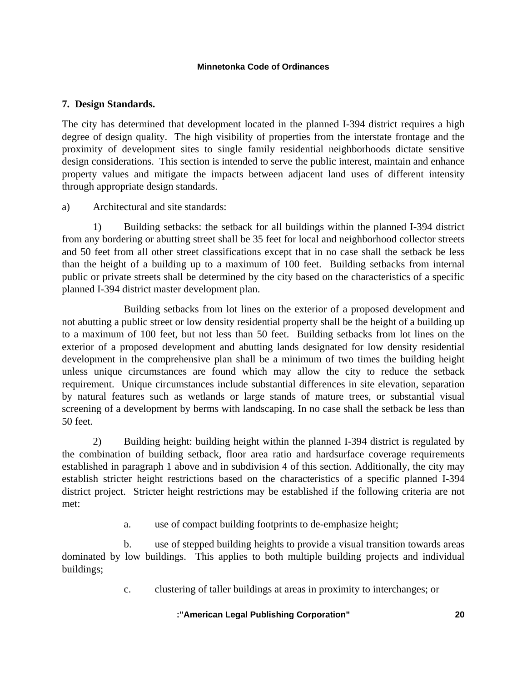## **7. Design Standards.**

The city has determined that development located in the planned I-394 district requires a high degree of design quality. The high visibility of properties from the interstate frontage and the proximity of development sites to single family residential neighborhoods dictate sensitive design considerations. This section is intended to serve the public interest, maintain and enhance property values and mitigate the impacts between adjacent land uses of different intensity through appropriate design standards.

## a) Architectural and site standards:

 1) Building setbacks: the setback for all buildings within the planned I-394 district from any bordering or abutting street shall be 35 feet for local and neighborhood collector streets and 50 feet from all other street classifications except that in no case shall the setback be less than the height of a building up to a maximum of 100 feet. Building setbacks from internal public or private streets shall be determined by the city based on the characteristics of a specific planned I-394 district master development plan.

 Building setbacks from lot lines on the exterior of a proposed development and not abutting a public street or low density residential property shall be the height of a building up to a maximum of 100 feet, but not less than 50 feet. Building setbacks from lot lines on the exterior of a proposed development and abutting lands designated for low density residential development in the comprehensive plan shall be a minimum of two times the building height unless unique circumstances are found which may allow the city to reduce the setback requirement. Unique circumstances include substantial differences in site elevation, separation by natural features such as wetlands or large stands of mature trees, or substantial visual screening of a development by berms with landscaping. In no case shall the setback be less than 50 feet.

 2) Building height: building height within the planned I-394 district is regulated by the combination of building setback, floor area ratio and hardsurface coverage requirements established in paragraph 1 above and in subdivision 4 of this section. Additionally, the city may establish stricter height restrictions based on the characteristics of a specific planned I-394 district project. Stricter height restrictions may be established if the following criteria are not met:

a. use of compact building footprints to de-emphasize height;

 b. use of stepped building heights to provide a visual transition towards areas dominated by low buildings. This applies to both multiple building projects and individual buildings;

c. clustering of taller buildings at areas in proximity to interchanges; or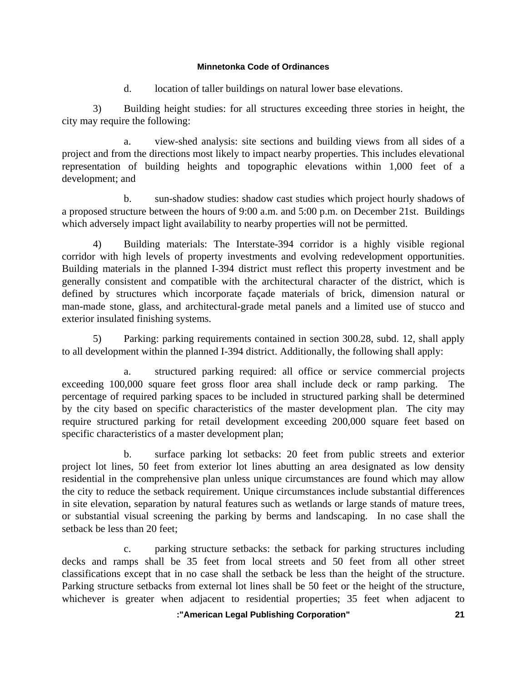d. location of taller buildings on natural lower base elevations.

 3) Building height studies: for all structures exceeding three stories in height, the city may require the following:

 a. view-shed analysis: site sections and building views from all sides of a project and from the directions most likely to impact nearby properties. This includes elevational representation of building heights and topographic elevations within 1,000 feet of a development; and

 b. sun-shadow studies: shadow cast studies which project hourly shadows of a proposed structure between the hours of 9:00 a.m. and 5:00 p.m. on December 21st. Buildings which adversely impact light availability to nearby properties will not be permitted.

 4) Building materials: The Interstate-394 corridor is a highly visible regional corridor with high levels of property investments and evolving redevelopment opportunities. Building materials in the planned I-394 district must reflect this property investment and be generally consistent and compatible with the architectural character of the district, which is defined by structures which incorporate façade materials of brick, dimension natural or man-made stone, glass, and architectural-grade metal panels and a limited use of stucco and exterior insulated finishing systems.

 5) Parking: parking requirements contained in section 300.28, subd. 12, shall apply to all development within the planned I-394 district. Additionally, the following shall apply:

 a. structured parking required: all office or service commercial projects exceeding 100,000 square feet gross floor area shall include deck or ramp parking. The percentage of required parking spaces to be included in structured parking shall be determined by the city based on specific characteristics of the master development plan. The city may require structured parking for retail development exceeding 200,000 square feet based on specific characteristics of a master development plan;

 b. surface parking lot setbacks: 20 feet from public streets and exterior project lot lines, 50 feet from exterior lot lines abutting an area designated as low density residential in the comprehensive plan unless unique circumstances are found which may allow the city to reduce the setback requirement. Unique circumstances include substantial differences in site elevation, separation by natural features such as wetlands or large stands of mature trees, or substantial visual screening the parking by berms and landscaping. In no case shall the setback be less than 20 feet;

 c. parking structure setbacks: the setback for parking structures including decks and ramps shall be 35 feet from local streets and 50 feet from all other street classifications except that in no case shall the setback be less than the height of the structure. Parking structure setbacks from external lot lines shall be 50 feet or the height of the structure, whichever is greater when adjacent to residential properties; 35 feet when adjacent to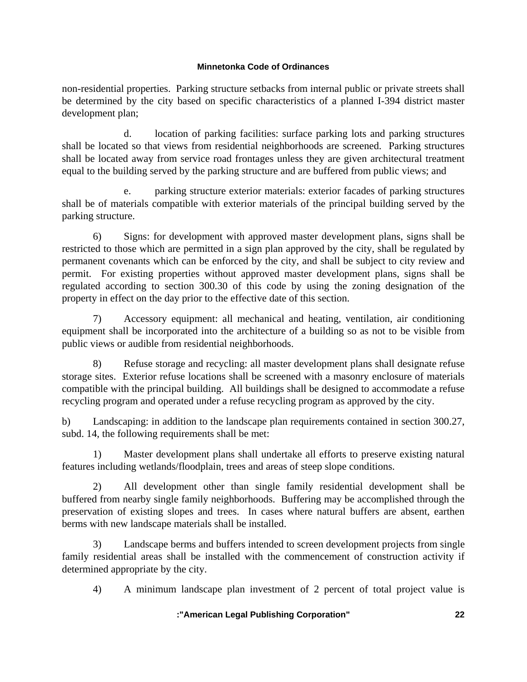non-residential properties. Parking structure setbacks from internal public or private streets shall be determined by the city based on specific characteristics of a planned I-394 district master development plan;

 d. location of parking facilities: surface parking lots and parking structures shall be located so that views from residential neighborhoods are screened. Parking structures shall be located away from service road frontages unless they are given architectural treatment equal to the building served by the parking structure and are buffered from public views; and

 e. parking structure exterior materials: exterior facades of parking structures shall be of materials compatible with exterior materials of the principal building served by the parking structure.

 6) Signs: for development with approved master development plans, signs shall be restricted to those which are permitted in a sign plan approved by the city, shall be regulated by permanent covenants which can be enforced by the city, and shall be subject to city review and permit. For existing properties without approved master development plans, signs shall be regulated according to section 300.30 of this code by using the zoning designation of the property in effect on the day prior to the effective date of this section.

 7) Accessory equipment: all mechanical and heating, ventilation, air conditioning equipment shall be incorporated into the architecture of a building so as not to be visible from public views or audible from residential neighborhoods.

 8) Refuse storage and recycling: all master development plans shall designate refuse storage sites. Exterior refuse locations shall be screened with a masonry enclosure of materials compatible with the principal building. All buildings shall be designed to accommodate a refuse recycling program and operated under a refuse recycling program as approved by the city.

b) Landscaping: in addition to the landscape plan requirements contained in section 300.27, subd. 14, the following requirements shall be met:

 1) Master development plans shall undertake all efforts to preserve existing natural features including wetlands/floodplain, trees and areas of steep slope conditions.

 2) All development other than single family residential development shall be buffered from nearby single family neighborhoods. Buffering may be accomplished through the preservation of existing slopes and trees. In cases where natural buffers are absent, earthen berms with new landscape materials shall be installed.

 3) Landscape berms and buffers intended to screen development projects from single family residential areas shall be installed with the commencement of construction activity if determined appropriate by the city.

4) A minimum landscape plan investment of 2 percent of total project value is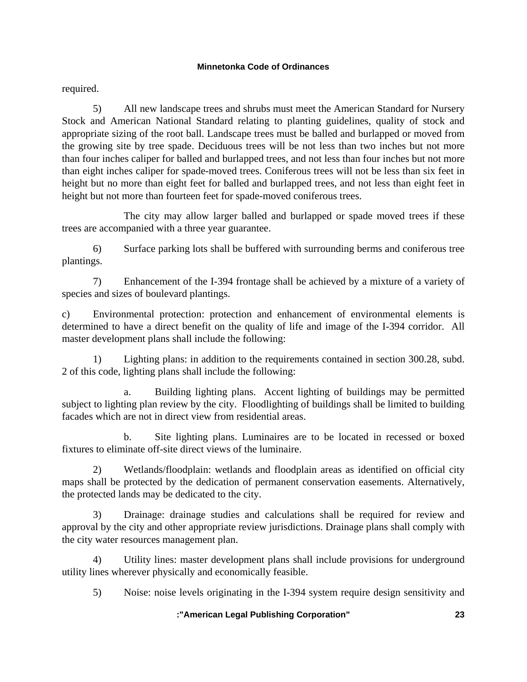required.

 5) All new landscape trees and shrubs must meet the American Standard for Nursery Stock and American National Standard relating to planting guidelines, quality of stock and appropriate sizing of the root ball. Landscape trees must be balled and burlapped or moved from the growing site by tree spade. Deciduous trees will be not less than two inches but not more than four inches caliper for balled and burlapped trees, and not less than four inches but not more than eight inches caliper for spade-moved trees. Coniferous trees will not be less than six feet in height but no more than eight feet for balled and burlapped trees, and not less than eight feet in height but not more than fourteen feet for spade-moved coniferous trees.

 The city may allow larger balled and burlapped or spade moved trees if these trees are accompanied with a three year guarantee.

 6) Surface parking lots shall be buffered with surrounding berms and coniferous tree plantings.

 7) Enhancement of the I-394 frontage shall be achieved by a mixture of a variety of species and sizes of boulevard plantings.

c) Environmental protection: protection and enhancement of environmental elements is determined to have a direct benefit on the quality of life and image of the I-394 corridor. All master development plans shall include the following:

Lighting plans: in addition to the requirements contained in section 300.28, subd. 2 of this code, lighting plans shall include the following:

 a. Building lighting plans. Accent lighting of buildings may be permitted subject to lighting plan review by the city. Floodlighting of buildings shall be limited to building facades which are not in direct view from residential areas.

 b. Site lighting plans. Luminaires are to be located in recessed or boxed fixtures to eliminate off-site direct views of the luminaire.

 2) Wetlands/floodplain: wetlands and floodplain areas as identified on official city maps shall be protected by the dedication of permanent conservation easements. Alternatively, the protected lands may be dedicated to the city.

 3) Drainage: drainage studies and calculations shall be required for review and approval by the city and other appropriate review jurisdictions. Drainage plans shall comply with the city water resources management plan.

 4) Utility lines: master development plans shall include provisions for underground utility lines wherever physically and economically feasible.

5) Noise: noise levels originating in the I-394 system require design sensitivity and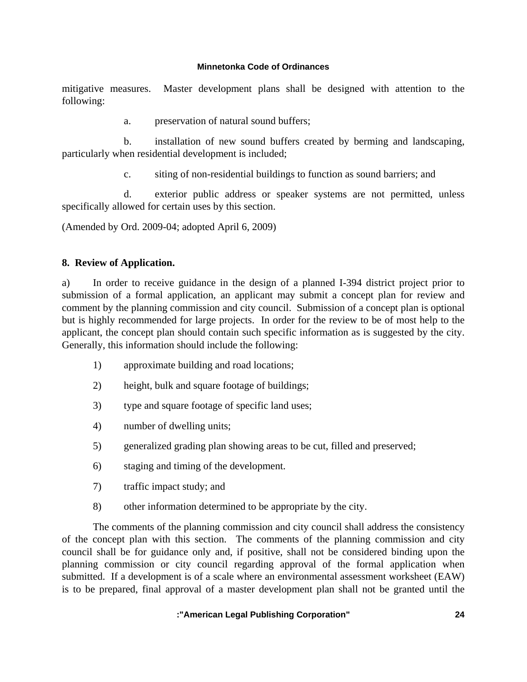mitigative measures. Master development plans shall be designed with attention to the following:

a. preservation of natural sound buffers;

 b. installation of new sound buffers created by berming and landscaping, particularly when residential development is included;

c. siting of non-residential buildings to function as sound barriers; and

 d. exterior public address or speaker systems are not permitted, unless specifically allowed for certain uses by this section.

(Amended by Ord. 2009-04; adopted April 6, 2009)

## **8. Review of Application.**

a) In order to receive guidance in the design of a planned I-394 district project prior to submission of a formal application, an applicant may submit a concept plan for review and comment by the planning commission and city council. Submission of a concept plan is optional but is highly recommended for large projects. In order for the review to be of most help to the applicant, the concept plan should contain such specific information as is suggested by the city. Generally, this information should include the following:

- 1) approximate building and road locations;
- 2) height, bulk and square footage of buildings;
- 3) type and square footage of specific land uses;
- 4) number of dwelling units;
- 5) generalized grading plan showing areas to be cut, filled and preserved;
- 6) staging and timing of the development.
- 7) traffic impact study; and
- 8) other information determined to be appropriate by the city.

 The comments of the planning commission and city council shall address the consistency of the concept plan with this section. The comments of the planning commission and city council shall be for guidance only and, if positive, shall not be considered binding upon the planning commission or city council regarding approval of the formal application when submitted. If a development is of a scale where an environmental assessment worksheet (EAW) is to be prepared, final approval of a master development plan shall not be granted until the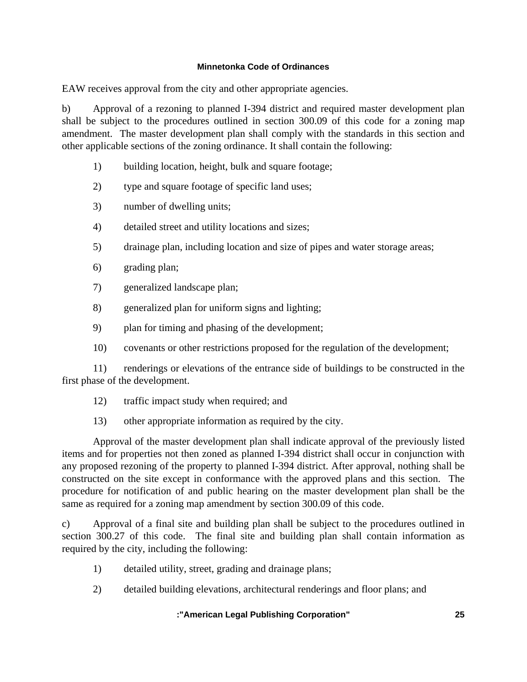EAW receives approval from the city and other appropriate agencies.

b) Approval of a rezoning to planned I-394 district and required master development plan shall be subject to the procedures outlined in section 300.09 of this code for a zoning map amendment. The master development plan shall comply with the standards in this section and other applicable sections of the zoning ordinance. It shall contain the following:

- 1) building location, height, bulk and square footage;
- 2) type and square footage of specific land uses;
- 3) number of dwelling units;
- 4) detailed street and utility locations and sizes;
- 5) drainage plan, including location and size of pipes and water storage areas;
- 6) grading plan;
- 7) generalized landscape plan;
- 8) generalized plan for uniform signs and lighting;
- 9) plan for timing and phasing of the development;
- 10) covenants or other restrictions proposed for the regulation of the development;

 11) renderings or elevations of the entrance side of buildings to be constructed in the first phase of the development.

- 12) traffic impact study when required; and
- 13) other appropriate information as required by the city.

 Approval of the master development plan shall indicate approval of the previously listed items and for properties not then zoned as planned I-394 district shall occur in conjunction with any proposed rezoning of the property to planned I-394 district. After approval, nothing shall be constructed on the site except in conformance with the approved plans and this section. The procedure for notification of and public hearing on the master development plan shall be the same as required for a zoning map amendment by section 300.09 of this code.

c) Approval of a final site and building plan shall be subject to the procedures outlined in section 300.27 of this code. The final site and building plan shall contain information as required by the city, including the following:

- 1) detailed utility, street, grading and drainage plans;
- 2) detailed building elevations, architectural renderings and floor plans; and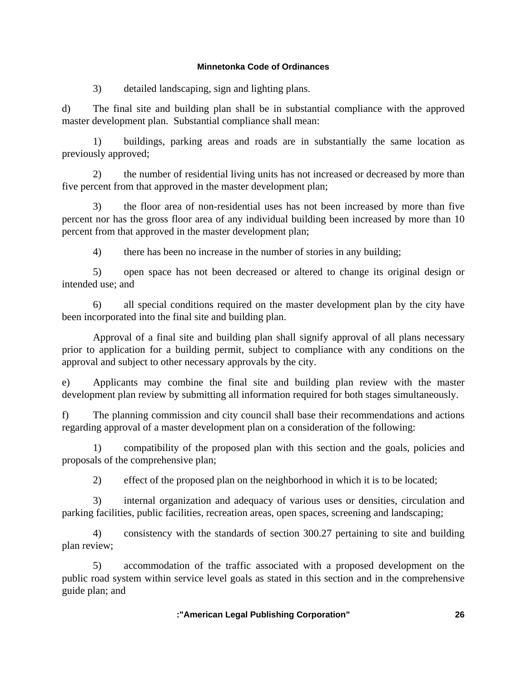3) detailed landscaping, sign and lighting plans.

d) The final site and building plan shall be in substantial compliance with the approved master development plan. Substantial compliance shall mean:

 1) buildings, parking areas and roads are in substantially the same location as previously approved;

 2) the number of residential living units has not increased or decreased by more than five percent from that approved in the master development plan;

 3) the floor area of non-residential uses has not been increased by more than five percent nor has the gross floor area of any individual building been increased by more than 10 percent from that approved in the master development plan;

4) there has been no increase in the number of stories in any building;

 5) open space has not been decreased or altered to change its original design or intended use; and

 6) all special conditions required on the master development plan by the city have been incorporated into the final site and building plan.

 Approval of a final site and building plan shall signify approval of all plans necessary prior to application for a building permit, subject to compliance with any conditions on the approval and subject to other necessary approvals by the city.

e) Applicants may combine the final site and building plan review with the master development plan review by submitting all information required for both stages simultaneously.

f) The planning commission and city council shall base their recommendations and actions regarding approval of a master development plan on a consideration of the following:

 1) compatibility of the proposed plan with this section and the goals, policies and proposals of the comprehensive plan;

2) effect of the proposed plan on the neighborhood in which it is to be located;

 3) internal organization and adequacy of various uses or densities, circulation and parking facilities, public facilities, recreation areas, open spaces, screening and landscaping;

 4) consistency with the standards of section 300.27 pertaining to site and building plan review;

 5) accommodation of the traffic associated with a proposed development on the public road system within service level goals as stated in this section and in the comprehensive guide plan; and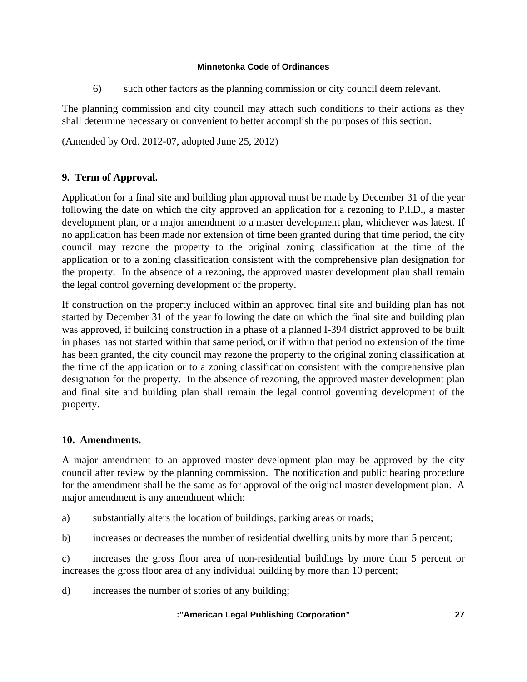6) such other factors as the planning commission or city council deem relevant.

The planning commission and city council may attach such conditions to their actions as they shall determine necessary or convenient to better accomplish the purposes of this section.

(Amended by Ord. 2012-07, adopted June 25, 2012)

# **9. Term of Approval.**

Application for a final site and building plan approval must be made by December 31 of the year following the date on which the city approved an application for a rezoning to P.I.D., a master development plan, or a major amendment to a master development plan, whichever was latest. If no application has been made nor extension of time been granted during that time period, the city council may rezone the property to the original zoning classification at the time of the application or to a zoning classification consistent with the comprehensive plan designation for the property. In the absence of a rezoning, the approved master development plan shall remain the legal control governing development of the property.

If construction on the property included within an approved final site and building plan has not started by December 31 of the year following the date on which the final site and building plan was approved, if building construction in a phase of a planned I-394 district approved to be built in phases has not started within that same period, or if within that period no extension of the time has been granted, the city council may rezone the property to the original zoning classification at the time of the application or to a zoning classification consistent with the comprehensive plan designation for the property. In the absence of rezoning, the approved master development plan and final site and building plan shall remain the legal control governing development of the property.

# **10. Amendments.**

A major amendment to an approved master development plan may be approved by the city council after review by the planning commission. The notification and public hearing procedure for the amendment shall be the same as for approval of the original master development plan. A major amendment is any amendment which:

a) substantially alters the location of buildings, parking areas or roads;

b) increases or decreases the number of residential dwelling units by more than 5 percent;

c) increases the gross floor area of non-residential buildings by more than 5 percent or increases the gross floor area of any individual building by more than 10 percent;

d) increases the number of stories of any building;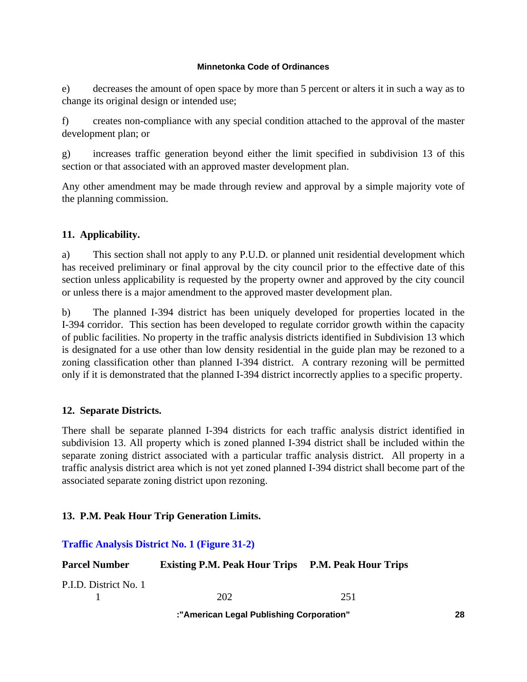e) decreases the amount of open space by more than 5 percent or alters it in such a way as to change its original design or intended use;

f) creates non-compliance with any special condition attached to the approval of the master development plan; or

g) increases traffic generation beyond either the limit specified in subdivision 13 of this section or that associated with an approved master development plan.

Any other amendment may be made through review and approval by a simple majority vote of the planning commission.

## **11. Applicability.**

a) This section shall not apply to any P.U.D. or planned unit residential development which has received preliminary or final approval by the city council prior to the effective date of this section unless applicability is requested by the property owner and approved by the city council or unless there is a major amendment to the approved master development plan.

b) The planned I-394 district has been uniquely developed for properties located in the I-394 corridor. This section has been developed to regulate corridor growth within the capacity of public facilities. No property in the traffic analysis districts identified in Subdivision 13 which is designated for a use other than low density residential in the guide plan may be rezoned to a zoning classification other than planned I-394 district. A contrary rezoning will be permitted only if it is demonstrated that the planned I-394 district incorrectly applies to a specific property.

## **12. Separate Districts.**

There shall be separate planned I-394 districts for each traffic analysis district identified in subdivision 13. All property which is zoned planned I-394 district shall be included within the separate zoning district associated with a particular traffic analysis district. All property in a traffic analysis district area which is not yet zoned planned I-394 district shall become part of the associated separate zoning district upon rezoning.

## **13. P.M. Peak Hour Trip Generation Limits.**

## **Traffic Analysis District No. 1 (Figure 31-2)**

| <b>Parcel Number</b>  | <b>Existing P.M. Peak Hour Trips P.M. Peak Hour Trips</b> |     |
|-----------------------|-----------------------------------------------------------|-----|
| P.I.D. District No. 1 |                                                           |     |
|                       | 202                                                       | 251 |
|                       | ."Amariaan Lagal Dubliching Carnaratian"                  |     |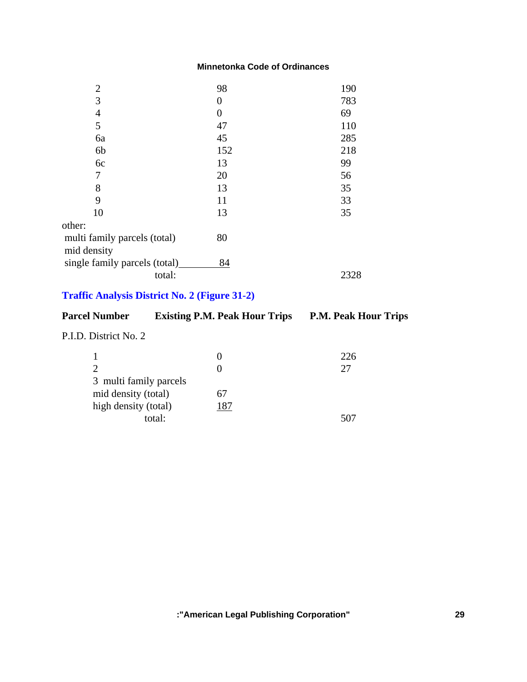| $\overline{2}$                | 98  | 190  |
|-------------------------------|-----|------|
| 3                             | 0   | 783  |
| $\overline{4}$                | 0   | 69   |
| 5                             | 47  | 110  |
| 6a                            | 45  | 285  |
| 6b                            | 152 | 218  |
| 6c                            | 13  | 99   |
| 7                             | 20  | 56   |
| 8                             | 13  | 35   |
| 9                             | 11  | 33   |
| 10                            | 13  | 35   |
| other:                        |     |      |
| multi family parcels (total)  | 80  |      |
| mid density                   |     |      |
| single family parcels (total) | 84  |      |
| total:                        |     | 2328 |

# **Traffic Analysis District No. 2 (Figure 31-2)**

| <b>Parcel Number</b>        | <b>Existing P.M. Peak Hour Trips</b> | <b>P.M. Peak Hour Trips</b> |
|-----------------------------|--------------------------------------|-----------------------------|
| P.I.D. District No. 2       |                                      |                             |
|                             | $\theta$                             | 226                         |
| $\mathcal{D}_{\mathcal{L}}$ | $\theta$                             | 27                          |
| 3 multi family parcels      |                                      |                             |
| mid density (total)         | 67                                   |                             |
| high density (total)        | 187                                  |                             |
|                             | total:                               | 507                         |
|                             |                                      |                             |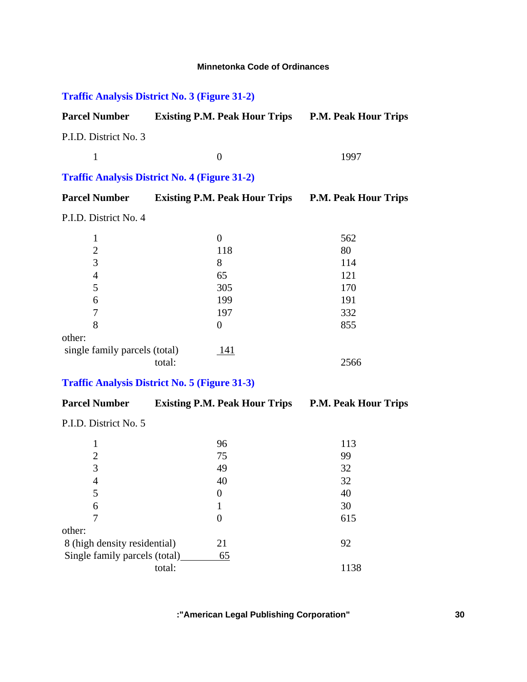# **Traffic Analysis District No. 3 (Figure 31-2)**

| <b>Parcel Number</b>  | <b>Existing P.M. Peak Hour Trips</b> | <b>P.M. Peak Hour Trips</b> |
|-----------------------|--------------------------------------|-----------------------------|
| P.I.D. District No. 3 |                                      |                             |
|                       |                                      | 1997                        |

# **Traffic Analysis District No. 4 (Figure 31-2)**

| <b>Parcel Number</b>  | <b>Existing P.M. Peak Hour Trips</b> | <b>P.M. Peak Hour Trips</b> |
|-----------------------|--------------------------------------|-----------------------------|
| P.I.D. District No. 4 |                                      |                             |
|                       |                                      | 562                         |
|                       | 118                                  | 80                          |
| 3                     |                                      | 114                         |
| 4                     | 65                                   | 121                         |
|                       | 305                                  | 170                         |

| 5                             | 305 | 170  |
|-------------------------------|-----|------|
| 6                             | 199 | 191  |
| 7                             | 197 | 332  |
| 8                             |     | 855  |
| other:                        |     |      |
| single family parcels (total) | 141 |      |
| total:                        |     | 2566 |

## **Traffic Analysis District No. 5 (Figure 31-3)**

| <b>Parcel Number</b>          | <b>Existing P.M. Peak Hour Trips</b> | <b>P.M. Peak Hour Trips</b> |
|-------------------------------|--------------------------------------|-----------------------------|
| P.I.D. District No. 5         |                                      |                             |
| 1                             | 96                                   | 113                         |
| $\overline{2}$                | 75                                   | 99                          |
| 3                             | 49                                   | 32                          |
| 4                             | 40                                   | 32                          |
| 5                             | $\theta$                             | 40                          |
| 6                             |                                      | 30                          |
| 7                             | 0                                    | 615                         |
| other:                        |                                      |                             |
| 8 (high density residential)  | 21                                   | 92                          |
| Single family parcels (total) | 65                                   |                             |
|                               | total:                               | 1138                        |
|                               |                                      |                             |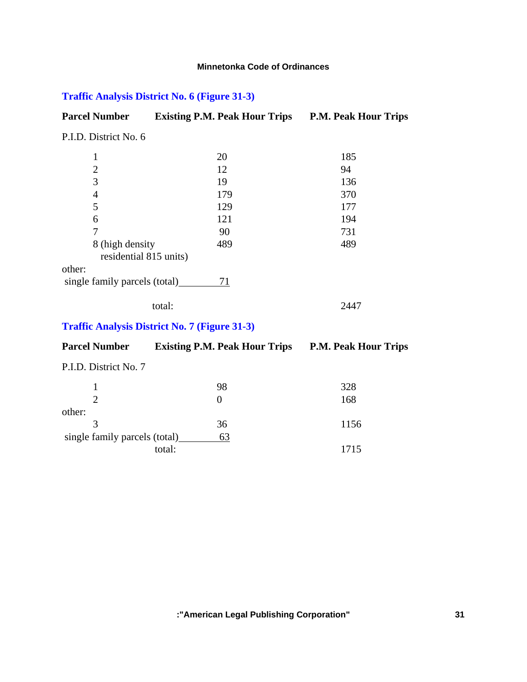# **Traffic Analysis District No. 6 (Figure 31-3)**

| <b>Parcel Number</b>                      | <b>Existing P.M. Peak Hour Trips</b> | <b>P.M. Peak Hour Trips</b> |
|-------------------------------------------|--------------------------------------|-----------------------------|
| P.I.D. District No. 6                     |                                      |                             |
| 1                                         | 20                                   | 185                         |
| $\overline{2}$                            | 12                                   | 94                          |
| 3                                         | 19                                   | 136                         |
| 4                                         | 179                                  | 370                         |
| 5                                         | 129                                  | 177                         |
| 6                                         | 121                                  | 194                         |
| 7                                         | 90                                   | 731                         |
| 8 (high density<br>residential 815 units) | 489                                  | 489                         |
| other:                                    |                                      |                             |
| single family parcels (total)             | 71                                   |                             |
|                                           | total:                               | 2447                        |

# **Traffic Analysis District No. 7 (Figure 31-3)**

| <b>Parcel Number</b>          | <b>Existing P.M. Peak Hour Trips</b> | <b>P.M. Peak Hour Trips</b> |
|-------------------------------|--------------------------------------|-----------------------------|
| P.I.D. District No. 7         |                                      |                             |
|                               | 98                                   | 328                         |
| $\mathcal{D}_{\mathcal{L}}$   | $\theta$                             | 168                         |
| other:                        |                                      |                             |
| $\mathcal{R}$                 | 36                                   | 1156                        |
| single family parcels (total) | 63                                   |                             |
|                               | total:                               | 1715                        |
|                               |                                      |                             |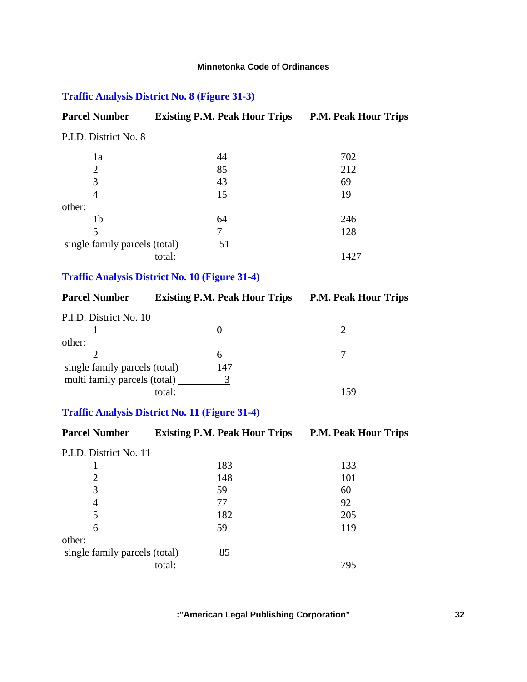# **Traffic Analysis District No. 8 (Figure 31-3)**

| <b>Parcel Number</b>          | <b>Existing P.M. Peak Hour Trips</b> | <b>P.M. Peak Hour Trips</b> |
|-------------------------------|--------------------------------------|-----------------------------|
| P.I.D. District No. 8         |                                      |                             |
| 1a                            | 44                                   | 702                         |
| 2                             | 85                                   | 212                         |
| 3                             | 43                                   | 69                          |
| 4                             | 15                                   | 19                          |
| other:                        |                                      |                             |
| 1b                            | 64                                   | 246                         |
| 5                             | 7                                    | 128                         |
| single family parcels (total) | 51                                   |                             |
|                               | total:                               | 1427                        |

# **Traffic Analysis District No. 10 (Figure 31-4)**

| <b>Parcel Number</b>          | <b>Existing P.M. Peak Hour Trips</b> | <b>P.M. Peak Hour Trips</b> |
|-------------------------------|--------------------------------------|-----------------------------|
| P.I.D. District No. 10        | $\theta$                             |                             |
| other:                        |                                      |                             |
|                               | 6                                    |                             |
| single family parcels (total) | 147                                  |                             |
| multi family parcels (total)  | 3                                    |                             |
|                               | total:                               | 159                         |

## **Traffic Analysis District No. 11 (Figure 31-4)**

| <b>Parcel Number</b>          | <b>Existing P.M. Peak Hour Trips</b> | <b>P.M. Peak Hour Trips</b> |
|-------------------------------|--------------------------------------|-----------------------------|
| P.I.D. District No. 11        |                                      |                             |
|                               | 183                                  | 133                         |
| 2                             | 148                                  | 101                         |
| 3                             | 59                                   | 60                          |
| 4                             | 77                                   | 92                          |
| 5                             | 182                                  | 205                         |
| 6                             | 59                                   | 119                         |
| other:                        |                                      |                             |
| single family parcels (total) | 85                                   |                             |
|                               | total:                               | 795                         |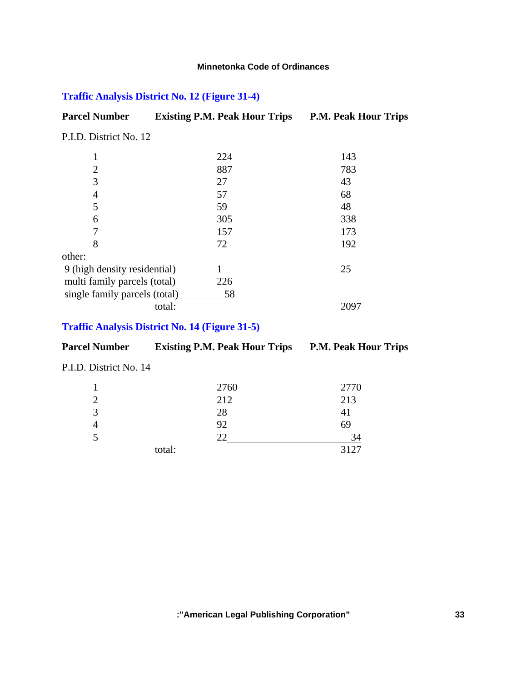# **Traffic Analysis District No. 12 (Figure 31-4)**

| <b>Parcel Number</b> | <b>Existing P.M. Peak Hour Trips</b> | <b>P.M. Peak Hour Trips</b> |
|----------------------|--------------------------------------|-----------------------------|
|                      |                                      |                             |

P.I.D. District No. 12

|                               | 224 | 143 |
|-------------------------------|-----|-----|
| $\overline{2}$                | 887 | 783 |
| 3                             | 27  | 43  |
| 4                             | 57  | 68  |
| 5                             | 59  | 48  |
| 6                             | 305 | 338 |
| 7                             | 157 | 173 |
| 8                             | 72  | 192 |
| other:                        |     |     |
| 9 (high density residential)  |     | 25  |
| multi family parcels (total)  | 226 |     |
| single family parcels (total) | 58  |     |
| total:                        |     |     |

## **Traffic Analysis District No. 14 (Figure 31-5)**

| <b>Parcel Number</b>   | <b>Existing P.M. Peak Hour Trips</b> | <b>P.M. Peak Hour Trips</b> |
|------------------------|--------------------------------------|-----------------------------|
| P.I.D. District No. 14 |                                      |                             |
|                        | 2760                                 | 2770                        |
|                        | 212                                  | 213                         |

| Ć |        | 28 | 41   |
|---|--------|----|------|
|   |        | 92 | 69   |
| J |        | ີ  | 34   |
|   | total: |    | 3127 |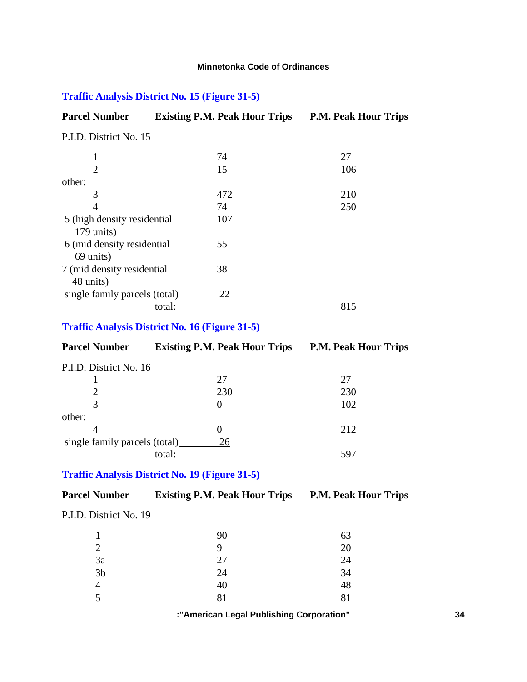## **Traffic Analysis District No. 15 (Figure 31-5)**

| <b>Parcel Number</b>                      | <b>Existing P.M. Peak Hour Trips</b> | <b>P.M. Peak Hour Trips</b> |
|-------------------------------------------|--------------------------------------|-----------------------------|
| P.I.D. District No. 15                    |                                      |                             |
| 1                                         | 74                                   | 27                          |
| $\overline{2}$                            | 15                                   | 106                         |
| other:                                    |                                      |                             |
| 3                                         | 472                                  | 210                         |
| 4                                         | 74                                   | 250                         |
| 5 (high density residential<br>179 units) | 107                                  |                             |
| 6 (mid density residential)<br>69 units)  | 55                                   |                             |
| 7 (mid density residential)<br>48 units)  | 38                                   |                             |
| single family parcels (total)             | 22                                   |                             |
|                                           | total:                               | 815                         |

## **Traffic Analysis District No. 16 (Figure 31-5)**

| <b>Parcel Number</b>          | <b>Existing P.M. Peak Hour Trips</b> | <b>P.M. Peak Hour Trips</b> |
|-------------------------------|--------------------------------------|-----------------------------|
| P.I.D. District No. 16        |                                      |                             |
|                               | 27                                   | 27                          |
| 2                             | 230                                  | 230                         |
| 3                             | $\theta$                             | 102                         |
| other:                        |                                      |                             |
|                               | $\theta$                             | 212                         |
| single family parcels (total) | 26                                   |                             |
|                               | total:                               | 597                         |
|                               |                                      |                             |

## **Traffic Analysis District No. 19 (Figure 31-5)**

## **Parcel Number Existing P.M. Peak Hour Trips P.M. Peak Hour Trips**

#### P.I.D. District No. 19

|                | 90 | 63 |
|----------------|----|----|
| $\mathcal{D}$  | q  | 20 |
| 3a             | 27 | 24 |
| 3 <sub>b</sub> | 24 | 34 |
| 4              | 40 | 48 |
| $\leq$         | 81 | 81 |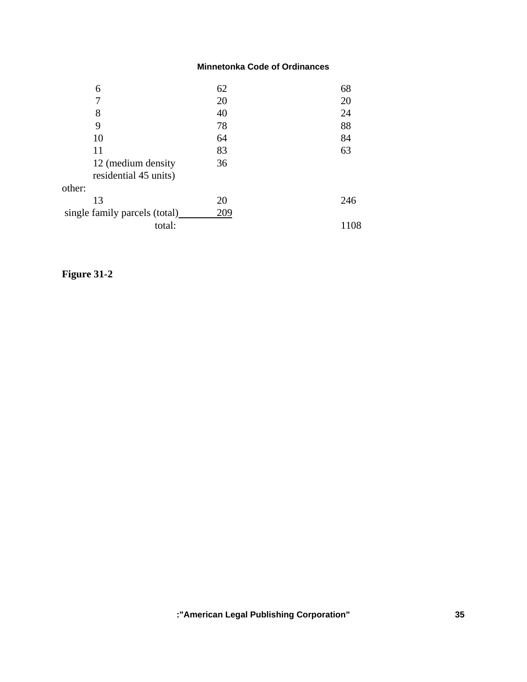| 6                             | 62  | 68  |
|-------------------------------|-----|-----|
|                               | 20  | 20  |
| 8                             | 40  | 24  |
| 9                             | 78  | 88  |
| 10                            | 64  | 84  |
| 11                            | 83  | 63  |
| 12 (medium density            | 36  |     |
| residential 45 units)         |     |     |
| other:                        |     |     |
| 13                            | 20  | 246 |
| single family parcels (total) | 209 |     |
| total:                        |     | .08 |

# **Figure 31-2**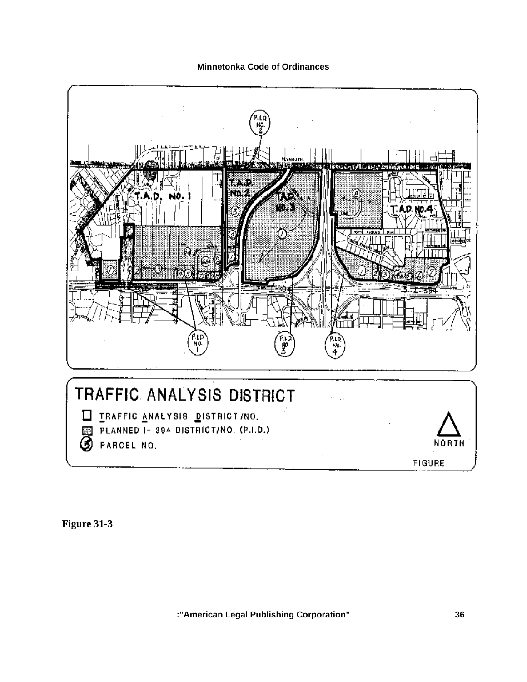

**Figure 31-3**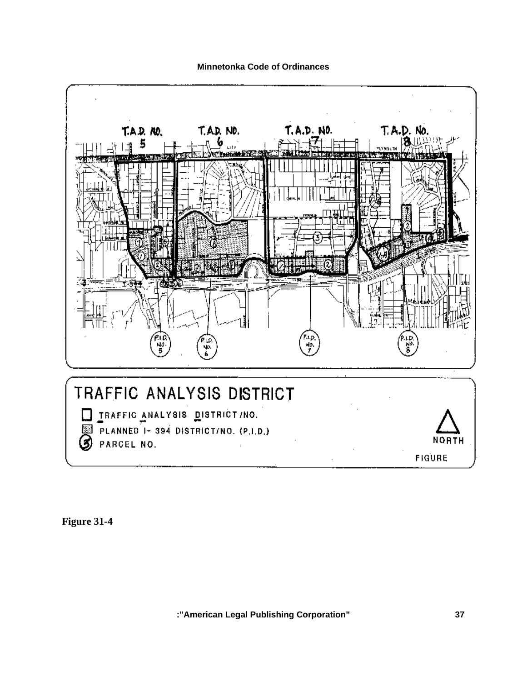

**Figure 31-4**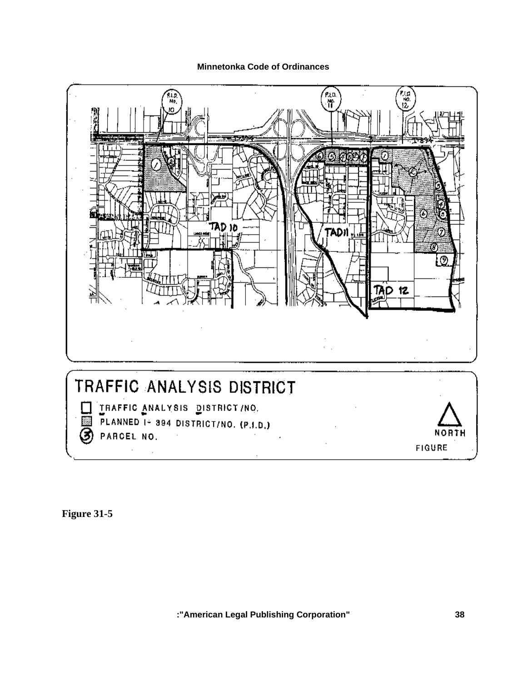

**Figure 31-5**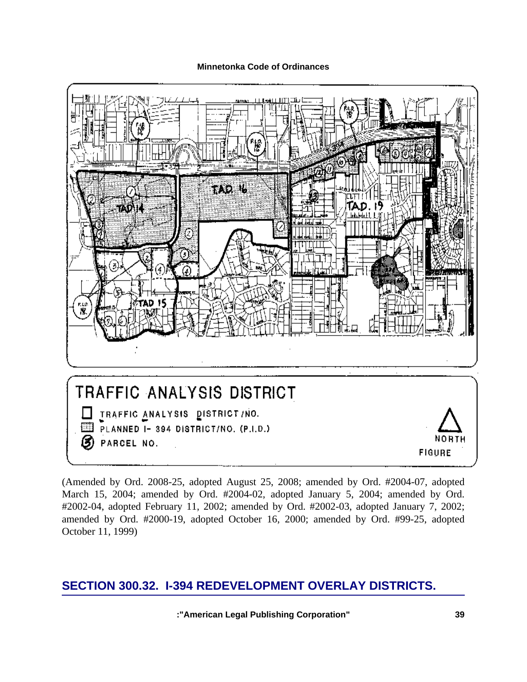

(Amended by Ord. 2008-25, adopted August 25, 2008; amended by Ord. #2004-07, adopted March 15, 2004; amended by Ord. #2004-02, adopted January 5, 2004; amended by Ord. #2002-04, adopted February 11, 2002; amended by Ord. #2002-03, adopted January 7, 2002; amended by Ord. #2000-19, adopted October 16, 2000; amended by Ord. #99-25, adopted October 11, 1999)

# **SECTION 300.32. I-394 REDEVELOPMENT OVERLAY DISTRICTS.**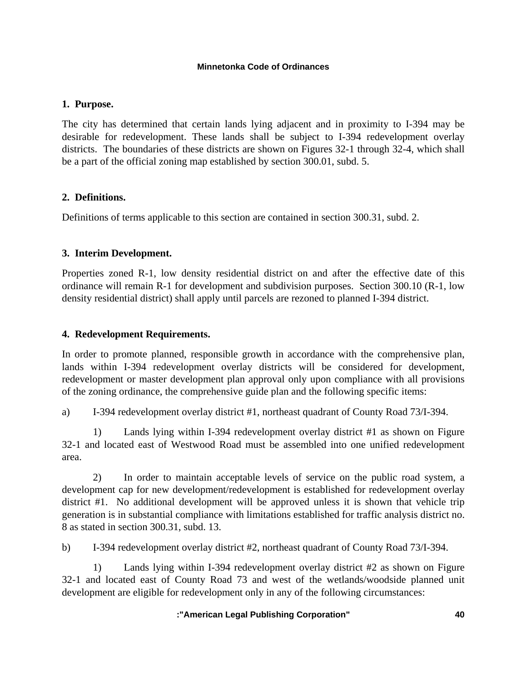## **1. Purpose.**

The city has determined that certain lands lying adjacent and in proximity to I-394 may be desirable for redevelopment. These lands shall be subject to I-394 redevelopment overlay districts. The boundaries of these districts are shown on Figures 32-1 through 32-4, which shall be a part of the official zoning map established by section 300.01, subd. 5.

## **2. Definitions.**

Definitions of terms applicable to this section are contained in section 300.31, subd. 2.

## **3. Interim Development.**

Properties zoned R-1, low density residential district on and after the effective date of this ordinance will remain R-1 for development and subdivision purposes. Section 300.10 (R-1, low density residential district) shall apply until parcels are rezoned to planned I-394 district.

## **4. Redevelopment Requirements.**

In order to promote planned, responsible growth in accordance with the comprehensive plan, lands within I-394 redevelopment overlay districts will be considered for development, redevelopment or master development plan approval only upon compliance with all provisions of the zoning ordinance, the comprehensive guide plan and the following specific items:

a) I-394 redevelopment overlay district #1, northeast quadrant of County Road 73/I-394.

 1) Lands lying within I-394 redevelopment overlay district #1 as shown on Figure 32-1 and located east of Westwood Road must be assembled into one unified redevelopment area.

 2) In order to maintain acceptable levels of service on the public road system, a development cap for new development/redevelopment is established for redevelopment overlay district #1. No additional development will be approved unless it is shown that vehicle trip generation is in substantial compliance with limitations established for traffic analysis district no. 8 as stated in section 300.31, subd. 13.

b) I-394 redevelopment overlay district #2, northeast quadrant of County Road 73/I-394.

 1) Lands lying within I-394 redevelopment overlay district #2 as shown on Figure 32-1 and located east of County Road 73 and west of the wetlands/woodside planned unit development are eligible for redevelopment only in any of the following circumstances: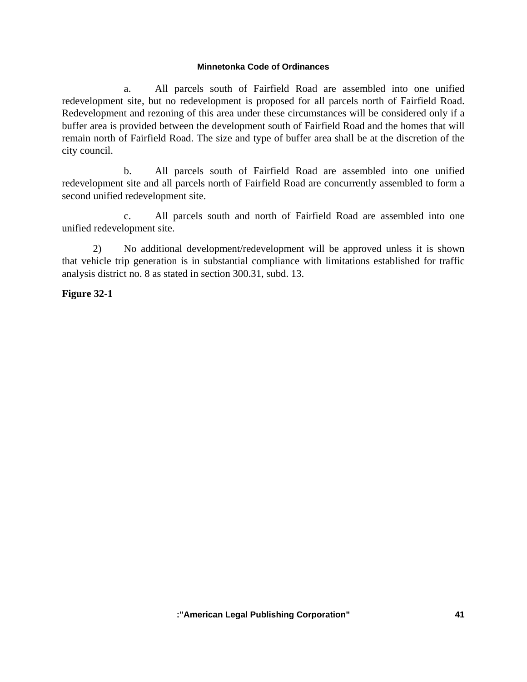a. All parcels south of Fairfield Road are assembled into one unified redevelopment site, but no redevelopment is proposed for all parcels north of Fairfield Road. Redevelopment and rezoning of this area under these circumstances will be considered only if a buffer area is provided between the development south of Fairfield Road and the homes that will remain north of Fairfield Road. The size and type of buffer area shall be at the discretion of the city council.

 b. All parcels south of Fairfield Road are assembled into one unified redevelopment site and all parcels north of Fairfield Road are concurrently assembled to form a second unified redevelopment site.

 c. All parcels south and north of Fairfield Road are assembled into one unified redevelopment site.

 2) No additional development/redevelopment will be approved unless it is shown that vehicle trip generation is in substantial compliance with limitations established for traffic analysis district no. 8 as stated in section 300.31, subd. 13.

## **Figure 32-1**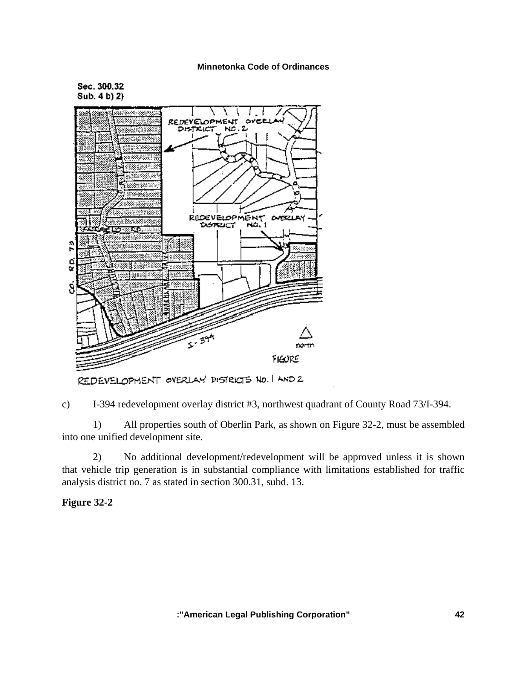Sec. 300.32 Sub. 4 b) 2}



REDEVELOPMENT OVERLAY DISTRICTS NO. I AND 2

c) I-394 redevelopment overlay district #3, northwest quadrant of County Road 73/I-394.

 1) All properties south of Oberlin Park, as shown on Figure 32-2, must be assembled into one unified development site.

 2) No additional development/redevelopment will be approved unless it is shown that vehicle trip generation is in substantial compliance with limitations established for traffic analysis district no. 7 as stated in section 300.31, subd. 13.

## **Figure 32-2**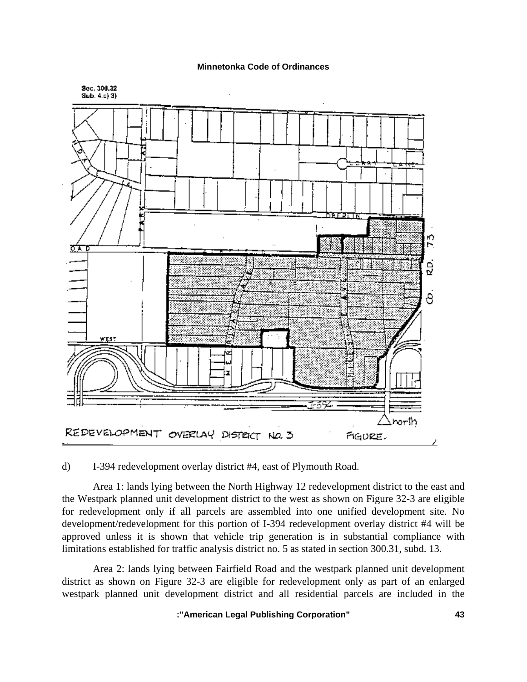

d) I-394 redevelopment overlay district #4, east of Plymouth Road.

 Area 1: lands lying between the North Highway 12 redevelopment district to the east and the Westpark planned unit development district to the west as shown on Figure 32-3 are eligible for redevelopment only if all parcels are assembled into one unified development site. No development/redevelopment for this portion of I-394 redevelopment overlay district #4 will be approved unless it is shown that vehicle trip generation is in substantial compliance with limitations established for traffic analysis district no. 5 as stated in section 300.31, subd. 13.

 Area 2: lands lying between Fairfield Road and the westpark planned unit development district as shown on Figure 32-3 are eligible for redevelopment only as part of an enlarged westpark planned unit development district and all residential parcels are included in the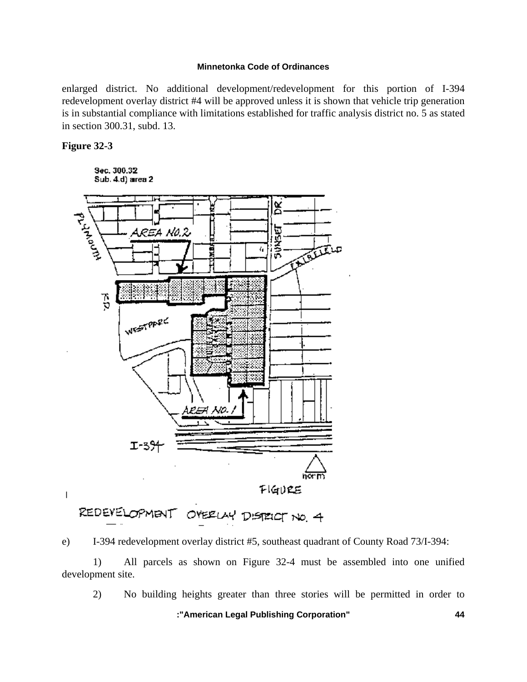enlarged district. No additional development/redevelopment for this portion of I-394 redevelopment overlay district #4 will be approved unless it is shown that vehicle trip generation is in substantial compliance with limitations established for traffic analysis district no. 5 as stated in section 300.31, subd. 13.

#### **Figure 32-3**

Sec. 300.32 Sub. 4.d) area 2



REDEVELOPMENT OVERLAY DISTRICT NO. 4

e) I-394 redevelopment overlay district #5, southeast quadrant of County Road 73/I-394:

 1) All parcels as shown on Figure 32-4 must be assembled into one unified development site.

2) No building heights greater than three stories will be permitted in order to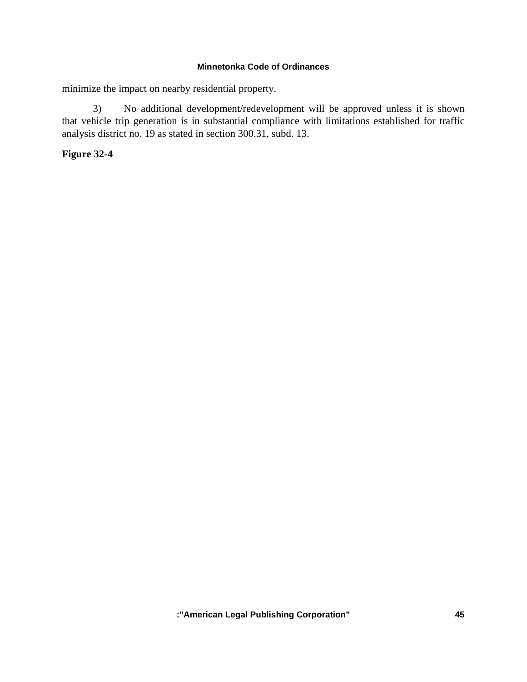minimize the impact on nearby residential property.

 3) No additional development/redevelopment will be approved unless it is shown that vehicle trip generation is in substantial compliance with limitations established for traffic analysis district no. 19 as stated in section 300.31, subd. 13.

# **Figure 32-4**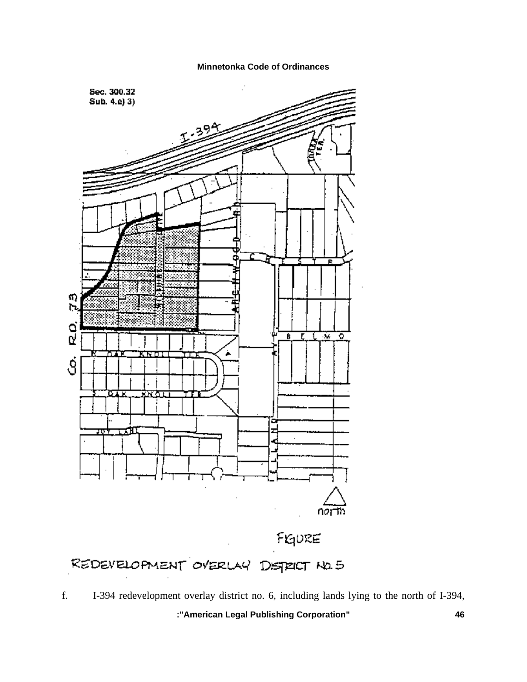

 **:"American Legal Publishing Corporation" 46** f. I-394 redevelopment overlay district no. 6, including lands lying to the north of I-394,